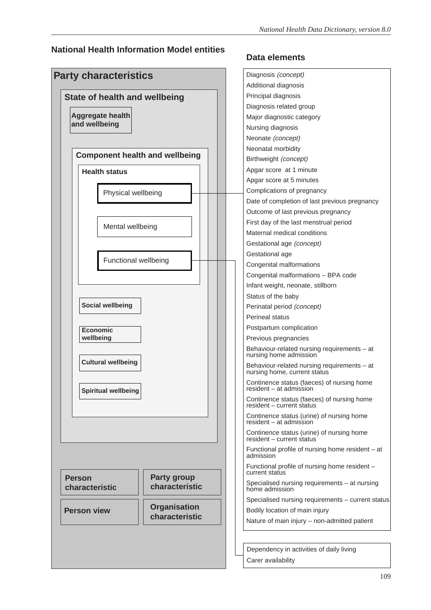#### **National Health Information Model entities**



### **Data elements**

| Diagnosis (concept)                                                         |
|-----------------------------------------------------------------------------|
| Additional diagnosis                                                        |
| Principal diagnosis                                                         |
| Diagnosis related group                                                     |
| Major diagnostic category                                                   |
| Nursing diagnosis                                                           |
| Neonate (concept)                                                           |
| Neonatal morbidity                                                          |
| Birthweight (concept)                                                       |
| Apgar score at 1 minute                                                     |
| Apgar score at 5 minutes                                                    |
| Complications of pregnancy                                                  |
| Date of completion of last previous pregnancy                               |
| Outcome of last previous pregnancy                                          |
| First day of the last menstrual period                                      |
| Maternal medical conditions                                                 |
| Gestational age (concept)                                                   |
| Gestational age                                                             |
| Congenital malformations                                                    |
| Congenital malformations - BPA code                                         |
| Infant weight, neonate, stillborn                                           |
| Status of the baby                                                          |
| Perinatal period (concept)                                                  |
| Perineal status                                                             |
| Postpartum complication                                                     |
| Previous pregnancies                                                        |
| Behaviour-related nursing requirements - at<br>nursing home admission       |
| Behaviour-related nursing requirements - at<br>nursing home, current status |
| Continence status (faeces) of nursing home<br>resident - at admission       |
| Continence status (faeces) of nursing home<br>resident - current status     |
| Continence status (urine) of nursing home<br>resident - at admission        |
| Continence status (urine) of nursing home<br>resident - current status      |
| Functional profile of nursing home resident – at<br>admission               |
| Functional profile of nursing home resident -<br>current status             |
| Specialised nursing requirements - at nursing<br>home admission             |
| Specialised nursing requirements - current status                           |
| Bodily location of main injury                                              |
| Nature of main injury - non-admitted patient                                |
|                                                                             |
|                                                                             |

Dependency in activities of daily living Carer availability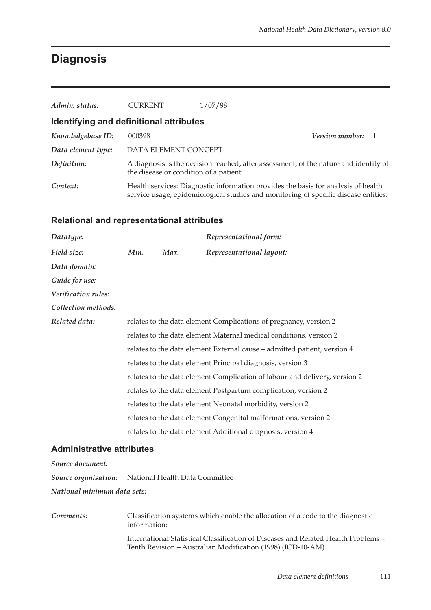## **Diagnosis**

| Admin. status:                          | <b>CURRENT</b>                         | 1/07/98                                                                                                                                                                  |                   |  |
|-----------------------------------------|----------------------------------------|--------------------------------------------------------------------------------------------------------------------------------------------------------------------------|-------------------|--|
| Identifying and definitional attributes |                                        |                                                                                                                                                                          |                   |  |
| Knowledgebase ID:                       | 000398                                 |                                                                                                                                                                          | Version number: 1 |  |
| Data element type:                      | DATA ELEMENT CONCEPT                   |                                                                                                                                                                          |                   |  |
| Definition:                             | the disease or condition of a patient. | A diagnosis is the decision reached, after assessment, of the nature and identity of                                                                                     |                   |  |
| Context:                                |                                        | Health services: Diagnostic information provides the basis for analysis of health<br>service usage, epidemiological studies and monitoring of specific disease entities. |                   |  |

#### **Relational and representational attributes**

| Datatype:           |      |      | Representational form:                                                     |
|---------------------|------|------|----------------------------------------------------------------------------|
| Field size:         | Min. | Max. | Representational layout:                                                   |
| Data domain:        |      |      |                                                                            |
| Guide for use:      |      |      |                                                                            |
| Verification rules: |      |      |                                                                            |
| Collection methods: |      |      |                                                                            |
| Related data:       |      |      | relates to the data element Complications of pregnancy, version 2          |
|                     |      |      | relates to the data element Maternal medical conditions, version 2         |
|                     |      |      | relates to the data element External cause - admitted patient, version 4   |
|                     |      |      | relates to the data element Principal diagnosis, version 3                 |
|                     |      |      | relates to the data element Complication of labour and delivery, version 2 |
|                     |      |      | relates to the data element Postpartum complication, version 2             |
|                     |      |      | relates to the data element Neonatal morbidity, version 2                  |
|                     |      |      | relates to the data element Congenital malformations, version 2            |
|                     |      |      | relates to the data element Additional diagnosis, version 4                |

#### **Administrative attributes**

| Source document:            |                                                            |
|-----------------------------|------------------------------------------------------------|
|                             | <b>Source organisation:</b> National Health Data Committee |
| National minimum data sets: |                                                            |

*Comments:* Classification systems which enable the allocation of a code to the diagnostic information: International Statistical Classification of Diseases and Related Health Problems – Tenth Revision – Australian Modification (1998) (ICD-10-AM)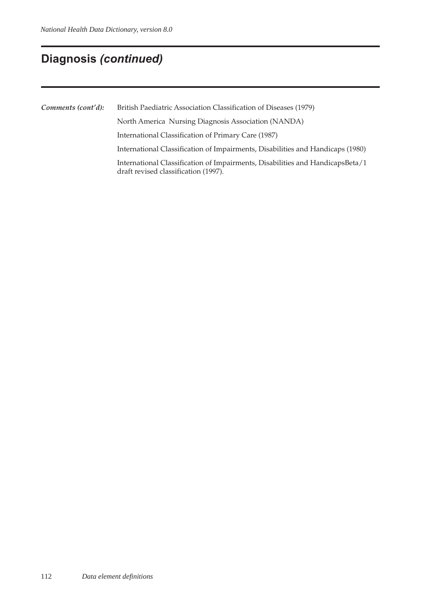## **Diagnosis (continued)**

*Comments (cont'd):* British Paediatric Association Classification of Diseases (1979) North America Nursing Diagnosis Association (NANDA) International Classification of Primary Care (1987) International Classification of Impairments, Disabilities and Handicaps (1980) International Classification of Impairments, Disabilities and HandicapsBeta/1 draft revised classification (1997).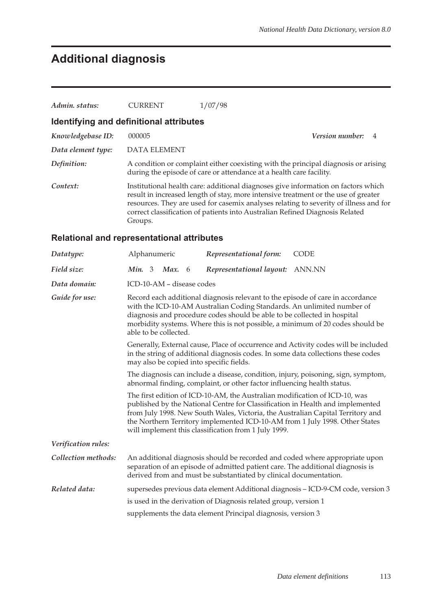# **Additional diagnosis**

| Admin. status:                                    | CURRENT      | 1/07/98                                                                                                                                                                                                                                                                                                                                          |                        |  |
|---------------------------------------------------|--------------|--------------------------------------------------------------------------------------------------------------------------------------------------------------------------------------------------------------------------------------------------------------------------------------------------------------------------------------------------|------------------------|--|
| Identifying and definitional attributes           |              |                                                                                                                                                                                                                                                                                                                                                  |                        |  |
| Knowledgebase ID:                                 | 000005       |                                                                                                                                                                                                                                                                                                                                                  | <b>Version number:</b> |  |
| Data element type:                                | DATA ELEMENT |                                                                                                                                                                                                                                                                                                                                                  |                        |  |
| Definition:                                       |              | A condition or complaint either coexisting with the principal diagnosis or arising<br>during the episode of care or attendance at a health care facility.                                                                                                                                                                                        |                        |  |
| Context:                                          | Groups.      | Institutional health care: additional diagnoses give information on factors which<br>result in increased length of stay, more intensive treatment or the use of greater<br>resources. They are used for casemix analyses relating to severity of illness and for<br>correct classification of patients into Australian Refined Diagnosis Related |                        |  |
| <b>Relational and representational attributes</b> |              |                                                                                                                                                                                                                                                                                                                                                  |                        |  |

| Datatype:           | Alphanumeric                                                                                                                                                                                                                                                                                                                                                                                                                                                                                                                                                           |  |                           |   | Representational form:                                                                                                                                                                                                                                                                                                                                                                | <b>CODE</b>                                                                      |  |  |
|---------------------|------------------------------------------------------------------------------------------------------------------------------------------------------------------------------------------------------------------------------------------------------------------------------------------------------------------------------------------------------------------------------------------------------------------------------------------------------------------------------------------------------------------------------------------------------------------------|--|---------------------------|---|---------------------------------------------------------------------------------------------------------------------------------------------------------------------------------------------------------------------------------------------------------------------------------------------------------------------------------------------------------------------------------------|----------------------------------------------------------------------------------|--|--|
| Field size:         | Min. $3$                                                                                                                                                                                                                                                                                                                                                                                                                                                                                                                                                               |  | Max.                      | 6 | Representational layout:                                                                                                                                                                                                                                                                                                                                                              | ANN.NN                                                                           |  |  |
| Data domain:        |                                                                                                                                                                                                                                                                                                                                                                                                                                                                                                                                                                        |  | ICD-10-AM - disease codes |   |                                                                                                                                                                                                                                                                                                                                                                                       |                                                                                  |  |  |
| Guide for use:      | Record each additional diagnosis relevant to the episode of care in accordance<br>with the ICD-10-AM Australian Coding Standards. An unlimited number of<br>diagnosis and procedure codes should be able to be collected in hospital<br>morbidity systems. Where this is not possible, a minimum of 20 codes should be<br>able to be collected.<br>Generally, External cause, Place of occurrence and Activity codes will be included<br>in the string of additional diagnosis codes. In some data collections these codes<br>may also be copied into specific fields. |  |                           |   |                                                                                                                                                                                                                                                                                                                                                                                       |                                                                                  |  |  |
|                     |                                                                                                                                                                                                                                                                                                                                                                                                                                                                                                                                                                        |  |                           |   |                                                                                                                                                                                                                                                                                                                                                                                       |                                                                                  |  |  |
|                     | The diagnosis can include a disease, condition, injury, poisoning, sign, symptom,<br>abnormal finding, complaint, or other factor influencing health status.                                                                                                                                                                                                                                                                                                                                                                                                           |  |                           |   |                                                                                                                                                                                                                                                                                                                                                                                       |                                                                                  |  |  |
|                     |                                                                                                                                                                                                                                                                                                                                                                                                                                                                                                                                                                        |  |                           |   | The first edition of ICD-10-AM, the Australian modification of ICD-10, was<br>published by the National Centre for Classification in Health and implemented<br>from July 1998. New South Wales, Victoria, the Australian Capital Territory and<br>the Northern Territory implemented ICD-10-AM from 1 July 1998. Other States<br>will implement this classification from 1 July 1999. |                                                                                  |  |  |
| Verification rules: |                                                                                                                                                                                                                                                                                                                                                                                                                                                                                                                                                                        |  |                           |   |                                                                                                                                                                                                                                                                                                                                                                                       |                                                                                  |  |  |
| Collection methods: |                                                                                                                                                                                                                                                                                                                                                                                                                                                                                                                                                                        |  |                           |   | separation of an episode of admitted patient care. The additional diagnosis is<br>derived from and must be substantiated by clinical documentation.                                                                                                                                                                                                                                   | An additional diagnosis should be recorded and coded where appropriate upon      |  |  |
| Related data:       |                                                                                                                                                                                                                                                                                                                                                                                                                                                                                                                                                                        |  |                           |   |                                                                                                                                                                                                                                                                                                                                                                                       | supersedes previous data element Additional diagnosis - ICD-9-CM code, version 3 |  |  |
|                     |                                                                                                                                                                                                                                                                                                                                                                                                                                                                                                                                                                        |  |                           |   | is used in the derivation of Diagnosis related group, version 1                                                                                                                                                                                                                                                                                                                       |                                                                                  |  |  |
|                     |                                                                                                                                                                                                                                                                                                                                                                                                                                                                                                                                                                        |  |                           |   | supplements the data element Principal diagnosis, version 3                                                                                                                                                                                                                                                                                                                           |                                                                                  |  |  |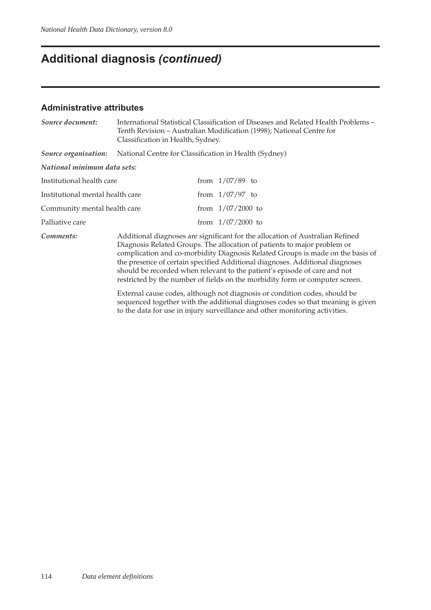# **Additional diagnosis** *(continued)*

#### **Administrative attributes**

| Source document:                 | Classification in Health, Sydney.                     | International Statistical Classification of Diseases and Related Health Problems -<br>Tenth Revision – Australian Modification (1998); National Centre for                                                                                                                                                                                                                                                                                                                               |
|----------------------------------|-------------------------------------------------------|------------------------------------------------------------------------------------------------------------------------------------------------------------------------------------------------------------------------------------------------------------------------------------------------------------------------------------------------------------------------------------------------------------------------------------------------------------------------------------------|
| Source organisation:             | National Centre for Classification in Health (Sydney) |                                                                                                                                                                                                                                                                                                                                                                                                                                                                                          |
| National minimum data sets:      |                                                       |                                                                                                                                                                                                                                                                                                                                                                                                                                                                                          |
| Institutional health care        |                                                       | from $1/07/89$ to                                                                                                                                                                                                                                                                                                                                                                                                                                                                        |
| Institutional mental health care |                                                       | from $1/07/97$ to                                                                                                                                                                                                                                                                                                                                                                                                                                                                        |
| Community mental health care     |                                                       | from $1/07/2000$ to                                                                                                                                                                                                                                                                                                                                                                                                                                                                      |
| Palliative care                  |                                                       | from $1/07/2000$ to                                                                                                                                                                                                                                                                                                                                                                                                                                                                      |
| Comments:                        |                                                       | Additional diagnoses are significant for the allocation of Australian Refined<br>Diagnosis Related Groups. The allocation of patients to major problem or<br>complication and co-morbidity Diagnosis Related Groups is made on the basis of<br>the presence of certain specified Additional diagnoses. Additional diagnoses<br>should be recorded when relevant to the patient's episode of care and not<br>restricted by the number of fields on the morbidity form or computer screen. |
|                                  |                                                       | External cause codes, although not diagnosis or condition codes, should be<br>sequenced together with the additional diagnoses codes so that meaning is given                                                                                                                                                                                                                                                                                                                            |

to the data for use in injury surveillance and other monitoring activities.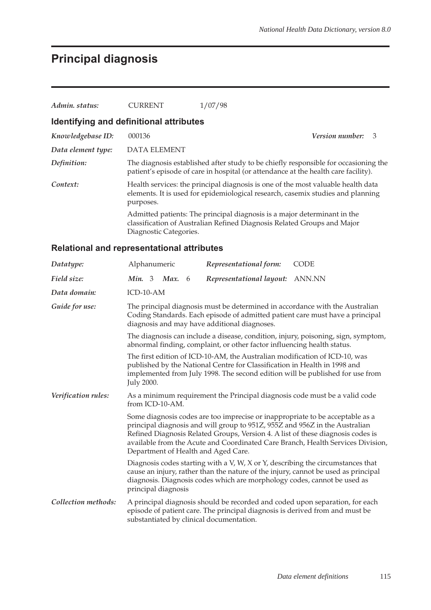# **Principal diagnosis**

| Admin. status:                          | <b>CURRENT</b>         | 1/07/98                                                                                                                                                                   |                        |     |
|-----------------------------------------|------------------------|---------------------------------------------------------------------------------------------------------------------------------------------------------------------------|------------------------|-----|
| Identifying and definitional attributes |                        |                                                                                                                                                                           |                        |     |
| Knowledgebase ID:                       | 000136                 |                                                                                                                                                                           | <b>Version number:</b> | - 3 |
| Data element type:                      | DATA ELEMENT           |                                                                                                                                                                           |                        |     |
| Definition:                             |                        | The diagnosis established after study to be chiefly responsible for occasioning the<br>patient's episode of care in hospital (or attendance at the health care facility). |                        |     |
| Context:                                | purposes.              | Health services: the principal diagnosis is one of the most valuable health data<br>elements. It is used for epidemiological research, casemix studies and planning       |                        |     |
|                                         | Diagnostic Categories. | Admitted patients: The principal diagnosis is a major determinant in the<br>classification of Australian Refined Diagnosis Related Groups and Major                       |                        |     |

### **Relational and representational attributes**

| Datatype:           | Alphanumeric                                                                                                                                                                                                                                                             | Representational form:                                                                                                                                                                                                                          | <b>CODE</b>                                                                                                                                                   |  |  |  |
|---------------------|--------------------------------------------------------------------------------------------------------------------------------------------------------------------------------------------------------------------------------------------------------------------------|-------------------------------------------------------------------------------------------------------------------------------------------------------------------------------------------------------------------------------------------------|---------------------------------------------------------------------------------------------------------------------------------------------------------------|--|--|--|
| Field size:         | <i>Min.</i> 3 <i>Max.</i> 6                                                                                                                                                                                                                                              | Representational layout:                                                                                                                                                                                                                        | ANN.NN                                                                                                                                                        |  |  |  |
| Data domain:        | ICD-10-AM                                                                                                                                                                                                                                                                |                                                                                                                                                                                                                                                 |                                                                                                                                                               |  |  |  |
| Guide for use:      | diagnosis and may have additional diagnoses.                                                                                                                                                                                                                             |                                                                                                                                                                                                                                                 | The principal diagnosis must be determined in accordance with the Australian<br>Coding Standards. Each episode of admitted patient care must have a principal |  |  |  |
|                     | The diagnosis can include a disease, condition, injury, poisoning, sign, symptom,<br>abnormal finding, complaint, or other factor influencing health status.                                                                                                             |                                                                                                                                                                                                                                                 |                                                                                                                                                               |  |  |  |
|                     | The first edition of ICD-10-AM, the Australian modification of ICD-10, was<br>published by the National Centre for Classification in Health in 1998 and<br>implemented from July 1998. The second edition will be published for use from<br><b>July 2000.</b>            |                                                                                                                                                                                                                                                 |                                                                                                                                                               |  |  |  |
| Verification rules: | from ICD-10-AM.                                                                                                                                                                                                                                                          | As a minimum requirement the Principal diagnosis code must be a valid code                                                                                                                                                                      |                                                                                                                                                               |  |  |  |
|                     | Department of Health and Aged Care.                                                                                                                                                                                                                                      | Some diagnosis codes are too imprecise or inappropriate to be acceptable as a<br>principal diagnosis and will group to 951Z, 955Z and 956Z in the Australian<br>Refined Diagnosis Related Groups, Version 4. A list of these diagnosis codes is | available from the Acute and Coordinated Care Branch, Health Services Division,                                                                               |  |  |  |
|                     | Diagnosis codes starting with a V, W, X or Y, describing the circumstances that<br>cause an injury, rather than the nature of the injury, cannot be used as principal<br>diagnosis. Diagnosis codes which are morphology codes, cannot be used as<br>principal diagnosis |                                                                                                                                                                                                                                                 |                                                                                                                                                               |  |  |  |
| Collection methods: | substantiated by clinical documentation.                                                                                                                                                                                                                                 | episode of patient care. The principal diagnosis is derived from and must be                                                                                                                                                                    | A principal diagnosis should be recorded and coded upon separation, for each                                                                                  |  |  |  |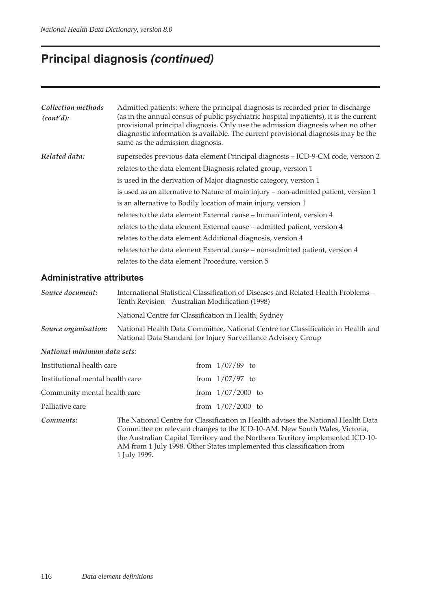## **Principal diagnosis** *(continued)*

| Collection methods<br>(cont'd): | Admitted patients: where the principal diagnosis is recorded prior to discharge<br>(as in the annual census of public psychiatric hospital inpatients), it is the current<br>provisional principal diagnosis. Only use the admission diagnosis when no other<br>diagnostic information is available. The current provisional diagnosis may be the<br>same as the admission diagnosis. |
|---------------------------------|---------------------------------------------------------------------------------------------------------------------------------------------------------------------------------------------------------------------------------------------------------------------------------------------------------------------------------------------------------------------------------------|
| Related data:                   | supersedes previous data element Principal diagnosis – ICD-9-CM code, version 2                                                                                                                                                                                                                                                                                                       |
|                                 | relates to the data element Diagnosis related group, version 1                                                                                                                                                                                                                                                                                                                        |
|                                 | is used in the derivation of Major diagnostic category, version 1                                                                                                                                                                                                                                                                                                                     |
|                                 | is used as an alternative to Nature of main injury – non-admitted patient, version 1                                                                                                                                                                                                                                                                                                  |
|                                 | is an alternative to Bodily location of main injury, version 1                                                                                                                                                                                                                                                                                                                        |
|                                 | relates to the data element External cause – human intent, version 4                                                                                                                                                                                                                                                                                                                  |
|                                 | relates to the data element External cause – admitted patient, version 4                                                                                                                                                                                                                                                                                                              |
|                                 | relates to the data element Additional diagnosis, version 4                                                                                                                                                                                                                                                                                                                           |
|                                 | relates to the data element External cause – non-admitted patient, version 4                                                                                                                                                                                                                                                                                                          |
|                                 | relates to the data element Procedure, version 5                                                                                                                                                                                                                                                                                                                                      |

#### **Administrative attributes**

| Source document:            | International Statistical Classification of Diseases and Related Health Problems –<br>Tenth Revision – Australian Modification (1998)             |
|-----------------------------|---------------------------------------------------------------------------------------------------------------------------------------------------|
|                             | National Centre for Classification in Health, Sydney                                                                                              |
| Source organisation:        | National Health Data Committee, National Centre for Classification in Health and<br>National Data Standard for Injury Surveillance Advisory Group |
| National minimum data sets: |                                                                                                                                                   |

| Institutional health care        | from $1/07/89$ to   |  |
|----------------------------------|---------------------|--|
| Institutional mental health care | from $1/07/97$ to   |  |
| Community mental health care     | from $1/07/2000$ to |  |
| Palliative care                  | from $1/07/2000$ to |  |
|                                  |                     |  |

*Comments:* The National Centre for Classification in Health advises the National Health Data Committee on relevant changes to the ICD-10-AM. New South Wales, Victoria, the Australian Capital Territory and the Northern Territory implemented ICD-10- AM from 1 July 1998. Other States implemented this classification from 1␣ July␣ 1999.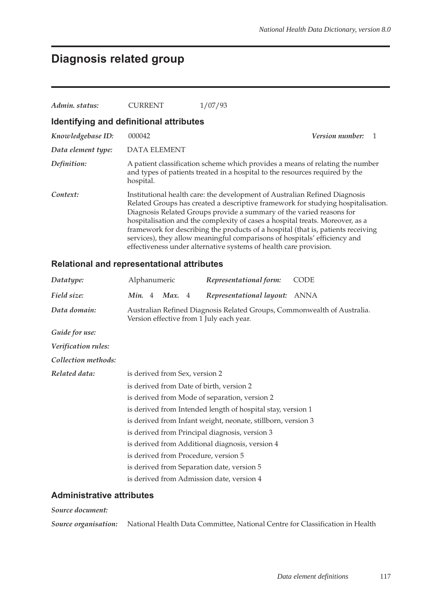## **Diagnosis related group**

| Admin. status:                          | <b>CURRENT</b>      | 1/07/93                                                                                                                                                                                                                                                                                                                                                                                                                                                                                                                                                       |
|-----------------------------------------|---------------------|---------------------------------------------------------------------------------------------------------------------------------------------------------------------------------------------------------------------------------------------------------------------------------------------------------------------------------------------------------------------------------------------------------------------------------------------------------------------------------------------------------------------------------------------------------------|
| Identifying and definitional attributes |                     |                                                                                                                                                                                                                                                                                                                                                                                                                                                                                                                                                               |
| Knowledgebase ID:                       | 000042              | <i>Version number:</i>                                                                                                                                                                                                                                                                                                                                                                                                                                                                                                                                        |
| Data element type:                      | <b>DATA ELEMENT</b> |                                                                                                                                                                                                                                                                                                                                                                                                                                                                                                                                                               |
| Definition:                             | hospital.           | A patient classification scheme which provides a means of relating the number<br>and types of patients treated in a hospital to the resources required by the                                                                                                                                                                                                                                                                                                                                                                                                 |
| Context:                                |                     | Institutional health care: the development of Australian Refined Diagnosis<br>Related Groups has created a descriptive framework for studying hospitalisation.<br>Diagnosis Related Groups provide a summary of the varied reasons for<br>hospitalisation and the complexity of cases a hospital treats. Moreover, as a<br>framework for describing the products of a hospital (that is, patients receiving<br>services), they allow meaningful comparisons of hospitals' efficiency and<br>effectiveness under alternative systems of health care provision. |

### **Relational and representational attributes**

| Datatype:           | Alphanumeric                                  |  |                                |  | Representational form:                                                                                              | <b>CODE</b> |  |
|---------------------|-----------------------------------------------|--|--------------------------------|--|---------------------------------------------------------------------------------------------------------------------|-------------|--|
| Field size:         |                                               |  | <i>Min.</i> 4 <i>Max.</i> 4    |  | Representational layout: ANNA                                                                                       |             |  |
| Data domain:        |                                               |  |                                |  | Australian Refined Diagnosis Related Groups, Commonwealth of Australia.<br>Version effective from 1 July each year. |             |  |
| Guide for use:      |                                               |  |                                |  |                                                                                                                     |             |  |
| Verification rules: |                                               |  |                                |  |                                                                                                                     |             |  |
| Collection methods: |                                               |  |                                |  |                                                                                                                     |             |  |
| Related data:       |                                               |  | is derived from Sex, version 2 |  |                                                                                                                     |             |  |
|                     |                                               |  |                                |  | is derived from Date of birth, version 2                                                                            |             |  |
|                     | is derived from Mode of separation, version 2 |  |                                |  |                                                                                                                     |             |  |
|                     |                                               |  |                                |  | is derived from Intended length of hospital stay, version 1                                                         |             |  |
|                     |                                               |  |                                |  | is derived from Infant weight, neonate, stillborn, version 3                                                        |             |  |
|                     |                                               |  |                                |  | is derived from Principal diagnosis, version 3                                                                      |             |  |
|                     |                                               |  |                                |  | is derived from Additional diagnosis, version 4                                                                     |             |  |
|                     |                                               |  |                                |  | is derived from Procedure, version 5                                                                                |             |  |
|                     |                                               |  |                                |  | is derived from Separation date, version 5                                                                          |             |  |
|                     |                                               |  |                                |  | is derived from Admission date, version 4                                                                           |             |  |

#### **Administrative attributes**

#### *Source document:*

*Source organisation:* National Health Data Committee, National Centre for Classification in Health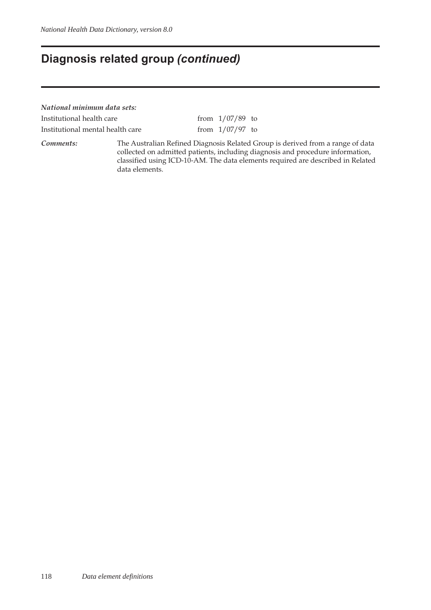### **Diagnosis related group** *(continued)*

*National minimum data sets:* Institutional health care from  $1/07/89$  to Institutional mental health care  $\frac{1}{07/97}$  to

*Comments:* The Australian Refined Diagnosis Related Group is derived from a range of data collected on admitted patients, including diagnosis and procedure information, classified using ICD-10-AM. The data elements required are described in Related data elements.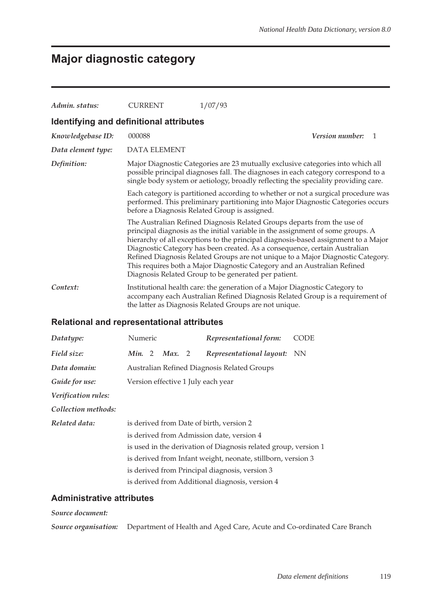# **Major diagnostic category**

| Admin. status:                          | <b>CURRENT</b> | 1/07/93                                                                                                                                                                                                                                                                                                                                                                                                                                                                                                                                               |  |
|-----------------------------------------|----------------|-------------------------------------------------------------------------------------------------------------------------------------------------------------------------------------------------------------------------------------------------------------------------------------------------------------------------------------------------------------------------------------------------------------------------------------------------------------------------------------------------------------------------------------------------------|--|
| Identifying and definitional attributes |                |                                                                                                                                                                                                                                                                                                                                                                                                                                                                                                                                                       |  |
| Knowledgebase ID:                       | 000088         | <i>Version number:</i><br>-1                                                                                                                                                                                                                                                                                                                                                                                                                                                                                                                          |  |
| Data element type:                      | DATA ELEMENT   |                                                                                                                                                                                                                                                                                                                                                                                                                                                                                                                                                       |  |
| Definition:                             |                | Major Diagnostic Categories are 23 mutually exclusive categories into which all<br>possible principal diagnoses fall. The diagnoses in each category correspond to a<br>single body system or aetiology, broadly reflecting the speciality providing care.                                                                                                                                                                                                                                                                                            |  |
|                                         |                | Each category is partitioned according to whether or not a surgical procedure was<br>performed. This preliminary partitioning into Major Diagnostic Categories occurs<br>before a Diagnosis Related Group is assigned.                                                                                                                                                                                                                                                                                                                                |  |
|                                         |                | The Australian Refined Diagnosis Related Groups departs from the use of<br>principal diagnosis as the initial variable in the assignment of some groups. A<br>hierarchy of all exceptions to the principal diagnosis-based assignment to a Major<br>Diagnostic Category has been created. As a consequence, certain Australian<br>Refined Diagnosis Related Groups are not unique to a Major Diagnostic Category.<br>This requires both a Major Diagnostic Category and an Australian Refined<br>Diagnosis Related Group to be generated per patient. |  |
| Context:                                |                | Institutional health care: the generation of a Major Diagnostic Category to<br>accompany each Australian Refined Diagnosis Related Group is a requirement of<br>the latter as Diagnosis Related Groups are not unique.                                                                                                                                                                                                                                                                                                                                |  |

### **Relational and representational attributes**

| Datatype:           | Numeric |                                    |        |  | Representational form:                                          | CODE      |  |
|---------------------|---------|------------------------------------|--------|--|-----------------------------------------------------------------|-----------|--|
| Field size:         | Min. 2  |                                    | Max. 2 |  | Representational layout:                                        | <b>NN</b> |  |
| Data domain:        |         |                                    |        |  | Australian Refined Diagnosis Related Groups                     |           |  |
| Guide for use:      |         | Version effective 1 July each year |        |  |                                                                 |           |  |
| Verification rules: |         |                                    |        |  |                                                                 |           |  |
| Collection methods: |         |                                    |        |  |                                                                 |           |  |
| Related data:       |         |                                    |        |  | is derived from Date of birth, version 2                        |           |  |
|                     |         |                                    |        |  | is derived from Admission date, version 4                       |           |  |
|                     |         |                                    |        |  | is used in the derivation of Diagnosis related group, version 1 |           |  |
|                     |         |                                    |        |  | is derived from Infant weight, neonate, stillborn, version 3    |           |  |
|                     |         |                                    |        |  | is derived from Principal diagnosis, version 3                  |           |  |
|                     |         |                                    |        |  | is derived from Additional diagnosis, version 4                 |           |  |

### **Administrative attributes**

#### *Source document:*

*Source organisation:* Department of Health and Aged Care, Acute and Co-ordinated Care Branch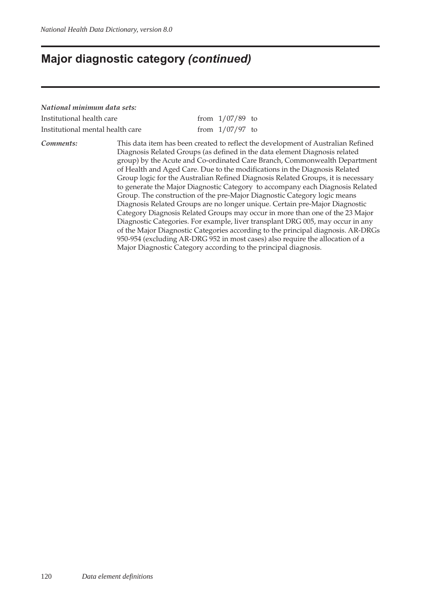### **Major diagnostic category** *(continued)*

*National minimum data sets:* Institutional health care  $\frac{1}{07/89}$  to Institutional mental health care  $\frac{1}{07/97}$  to

*Comments:* This data item has been created to reflect the development of Australian Refined Diagnosis Related Groups (as defined in the data element Diagnosis related group) by the Acute and Co-ordinated Care Branch, Commonwealth Department of Health and Aged Care. Due to the modifications in the Diagnosis Related Group logic for the Australian Refined Diagnosis Related Groups, it is necessary to generate the Major Diagnostic Category to accompany each Diagnosis Related Group. The construction of the pre-Major Diagnostic Category logic means Diagnosis Related Groups are no longer unique. Certain pre-Major Diagnostic Category Diagnosis Related Groups may occur in more than one of the 23 Major Diagnostic Categories. For example, liver transplant DRG 005, may occur in any of the Major Diagnostic Categories according to the principal diagnosis. AR-DRGs 950-954 (excluding AR-DRG 952 in most cases) also require the allocation of a Major Diagnostic Category according to the principal diagnosis.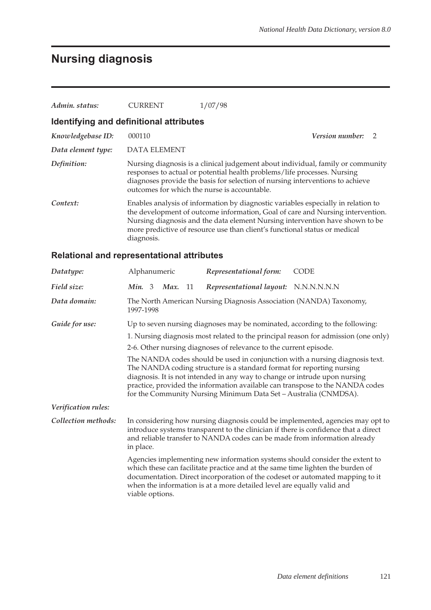# **Nursing diagnosis**

| Admin. status:     | <b>CURRENT</b>                          | 1/07/98                                                                                                                                                                                                                                                                                                                           |                   |  |
|--------------------|-----------------------------------------|-----------------------------------------------------------------------------------------------------------------------------------------------------------------------------------------------------------------------------------------------------------------------------------------------------------------------------------|-------------------|--|
|                    | Identifying and definitional attributes |                                                                                                                                                                                                                                                                                                                                   |                   |  |
| Knowledgebase ID:  | 000110                                  |                                                                                                                                                                                                                                                                                                                                   | Version number: 2 |  |
| Data element type: | <b>DATA ELEMENT</b>                     |                                                                                                                                                                                                                                                                                                                                   |                   |  |
| Definition:        |                                         | Nursing diagnosis is a clinical judgement about individual, family or community<br>responses to actual or potential health problems/life processes. Nursing<br>diagnoses provide the basis for selection of nursing interventions to achieve<br>outcomes for which the nurse is accountable.                                      |                   |  |
| Context:           | diagnosis.                              | Enables analysis of information by diagnostic variables especially in relation to<br>the development of outcome information, Goal of care and Nursing intervention.<br>Nursing diagnosis and the data element Nursing intervention have shown to be<br>more predictive of resource use than client's functional status or medical |                   |  |

### **Relational and representational attributes**

| Datatype:           | Alphanumeric                                                                                                                                                                                                                                                                                                                                                                             |  |           | Representational form:                                                                                                                                                                                                                  | <b>CODE</b>                                                                                                                                                           |  |
|---------------------|------------------------------------------------------------------------------------------------------------------------------------------------------------------------------------------------------------------------------------------------------------------------------------------------------------------------------------------------------------------------------------------|--|-----------|-----------------------------------------------------------------------------------------------------------------------------------------------------------------------------------------------------------------------------------------|-----------------------------------------------------------------------------------------------------------------------------------------------------------------------|--|
| Field size:         | Min. 3                                                                                                                                                                                                                                                                                                                                                                                   |  | $Max.$ 11 | Representational layout: N.N.N.N.N.N.                                                                                                                                                                                                   |                                                                                                                                                                       |  |
| Data domain:        | 1997-1998                                                                                                                                                                                                                                                                                                                                                                                |  |           | The North American Nursing Diagnosis Association (NANDA) Taxonomy,                                                                                                                                                                      |                                                                                                                                                                       |  |
| Guide for use:      |                                                                                                                                                                                                                                                                                                                                                                                          |  |           | Up to seven nursing diagnoses may be nominated, according to the following:                                                                                                                                                             |                                                                                                                                                                       |  |
|                     |                                                                                                                                                                                                                                                                                                                                                                                          |  |           |                                                                                                                                                                                                                                         | 1. Nursing diagnosis most related to the principal reason for admission (one only)                                                                                    |  |
|                     |                                                                                                                                                                                                                                                                                                                                                                                          |  |           | 2-6. Other nursing diagnoses of relevance to the current episode.                                                                                                                                                                       |                                                                                                                                                                       |  |
|                     | The NANDA codes should be used in conjunction with a nursing diagnosis text.<br>The NANDA coding structure is a standard format for reporting nursing<br>diagnosis. It is not intended in any way to change or intrude upon nursing<br>practice, provided the information available can transpose to the NANDA codes<br>for the Community Nursing Minimum Data Set - Australia (CNMDSA). |  |           |                                                                                                                                                                                                                                         |                                                                                                                                                                       |  |
| Verification rules: |                                                                                                                                                                                                                                                                                                                                                                                          |  |           |                                                                                                                                                                                                                                         |                                                                                                                                                                       |  |
| Collection methods: | in place.                                                                                                                                                                                                                                                                                                                                                                                |  |           | and reliable transfer to NANDA codes can be made from information already                                                                                                                                                               | In considering how nursing diagnosis could be implemented, agencies may opt to<br>introduce systems transparent to the clinician if there is confidence that a direct |  |
|                     | viable options.                                                                                                                                                                                                                                                                                                                                                                          |  |           | Agencies implementing new information systems should consider the extent to<br>which these can facilitate practice and at the same time lighten the burden of<br>when the information is at a more detailed level are equally valid and | documentation. Direct incorporation of the codeset or automated mapping to it                                                                                         |  |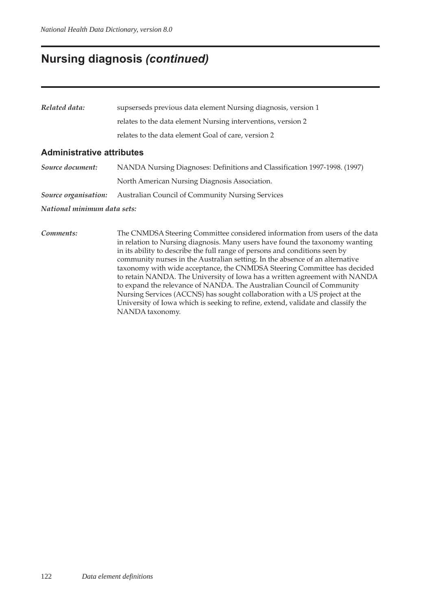### **Nursing diagnosis** *(continued)*

| Related data: | supserseds previous data element Nursing diagnosis, version 1 |  |  |  |
|---------------|---------------------------------------------------------------|--|--|--|
|               | relates to the data element Nursing interventions, version 2  |  |  |  |
|               | relates to the data element Goal of care, version 2           |  |  |  |

#### **Administrative attributes**

| Source document:     | NANDA Nursing Diagnoses: Definitions and Classification 1997-1998. (1997) |
|----------------------|---------------------------------------------------------------------------|
|                      | North American Nursing Diagnosis Association.                             |
| Source organisation: | <b>Australian Council of Community Nursing Services</b>                   |

#### *National minimum data sets:*

*Comments:* The CNMDSA Steering Committee considered information from users of the data in relation to Nursing diagnosis. Many users have found the taxonomy wanting in its ability to describe the full range of persons and conditions seen by community nurses in the Australian setting. In the absence of an alternative taxonomy with wide acceptance, the CNMDSA Steering Committee has decided to retain NANDA. The University of Iowa has a written agreement with NANDA to expand the relevance of NANDA. The Australian Council of Community Nursing Services (ACCNS) has sought collaboration with a US project at the University of Iowa which is seeking to refine, extend, validate and classify the NANDA taxonomy.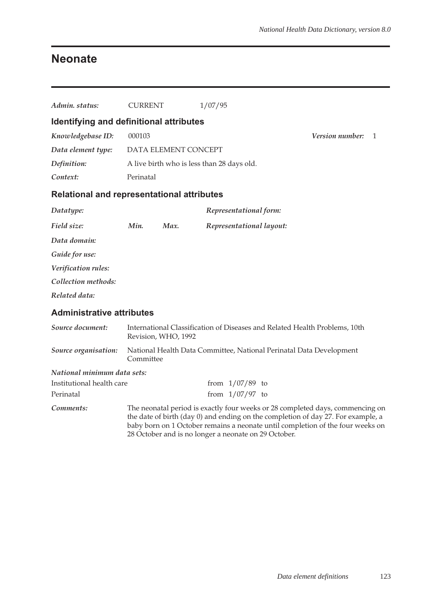## **Neonate**

| Admin. status:                                    | <b>CURRENT</b> |                      | 1/07/95                                              |  |                                                                                                                                                                                                                                                     |   |
|---------------------------------------------------|----------------|----------------------|------------------------------------------------------|--|-----------------------------------------------------------------------------------------------------------------------------------------------------------------------------------------------------------------------------------------------------|---|
| Identifying and definitional attributes           |                |                      |                                                      |  |                                                                                                                                                                                                                                                     |   |
| Knowledgebase ID:                                 | 000103         |                      |                                                      |  | Version number:                                                                                                                                                                                                                                     | 1 |
| Data element type:                                |                | DATA ELEMENT CONCEPT |                                                      |  |                                                                                                                                                                                                                                                     |   |
| Definition:                                       |                |                      | A live birth who is less than 28 days old.           |  |                                                                                                                                                                                                                                                     |   |
| Context:                                          | Perinatal      |                      |                                                      |  |                                                                                                                                                                                                                                                     |   |
| <b>Relational and representational attributes</b> |                |                      |                                                      |  |                                                                                                                                                                                                                                                     |   |
| Datatype:                                         |                |                      | Representational form:                               |  |                                                                                                                                                                                                                                                     |   |
| Field size:                                       | Min.           | Max.                 | Representational layout:                             |  |                                                                                                                                                                                                                                                     |   |
| Data domain:                                      |                |                      |                                                      |  |                                                                                                                                                                                                                                                     |   |
| Guide for use:                                    |                |                      |                                                      |  |                                                                                                                                                                                                                                                     |   |
| Verification rules:                               |                |                      |                                                      |  |                                                                                                                                                                                                                                                     |   |
| Collection methods:                               |                |                      |                                                      |  |                                                                                                                                                                                                                                                     |   |
| Related data:                                     |                |                      |                                                      |  |                                                                                                                                                                                                                                                     |   |
| <b>Administrative attributes</b>                  |                |                      |                                                      |  |                                                                                                                                                                                                                                                     |   |
| Source document:                                  |                | Revision, WHO, 1992  |                                                      |  | International Classification of Diseases and Related Health Problems, 10th                                                                                                                                                                          |   |
| Source organisation:                              | Committee      |                      |                                                      |  | National Health Data Committee, National Perinatal Data Development                                                                                                                                                                                 |   |
| National minimum data sets:                       |                |                      |                                                      |  |                                                                                                                                                                                                                                                     |   |
| Institutional health care                         |                |                      | from $1/07/89$ to                                    |  |                                                                                                                                                                                                                                                     |   |
| Perinatal                                         |                |                      | from $1/07/97$ to                                    |  |                                                                                                                                                                                                                                                     |   |
| Comments:                                         |                |                      | 28 October and is no longer a neonate on 29 October. |  | The neonatal period is exactly four weeks or 28 completed days, commencing on<br>the date of birth (day 0) and ending on the completion of day 27. For example, a<br>baby born on 1 October remains a neonate until completion of the four weeks on |   |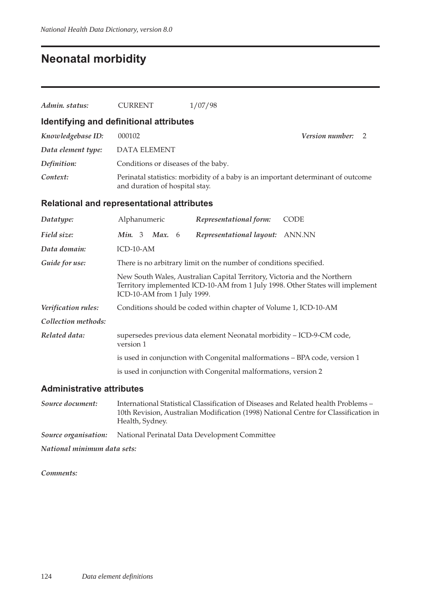# **Neonatal morbidity**

| Admin. status:      | <b>CURRENT</b>                                    | 1/07/98                                                                    |                                                                                  |
|---------------------|---------------------------------------------------|----------------------------------------------------------------------------|----------------------------------------------------------------------------------|
|                     | Identifying and definitional attributes           |                                                                            |                                                                                  |
| Knowledgebase ID:   | 000102                                            |                                                                            | <i>Version number:</i><br>2                                                      |
| Data element type:  | <b>DATA ELEMENT</b>                               |                                                                            |                                                                                  |
| Definition:         | Conditions or diseases of the baby.               |                                                                            |                                                                                  |
| Context:            | and duration of hospital stay.                    |                                                                            | Perinatal statistics: morbidity of a baby is an important determinant of outcome |
|                     | <b>Relational and representational attributes</b> |                                                                            |                                                                                  |
| Datatype:           | Alphanumeric                                      | Representational form:                                                     | <b>CODE</b>                                                                      |
| Field size:         | Max. $6$<br>Min. 3                                | Representational layout:                                                   | ANN.NN                                                                           |
| Data domain:        | ICD-10-AM                                         |                                                                            |                                                                                  |
| Guide for use:      |                                                   | There is no arbitrary limit on the number of conditions specified.         |                                                                                  |
|                     | ICD-10-AM from 1 July 1999.                       | New South Wales, Australian Capital Territory, Victoria and the Northern   | Territory implemented ICD-10-AM from 1 July 1998. Other States will implement    |
| Verification rules: |                                                   | Conditions should be coded within chapter of Volume 1, ICD-10-AM           |                                                                                  |
| Collection methods: |                                                   |                                                                            |                                                                                  |
| Related data:       | version 1                                         | supersedes previous data element Neonatal morbidity - ICD-9-CM code,       |                                                                                  |
|                     |                                                   | is used in conjunction with Congenital malformations - BPA code, version 1 |                                                                                  |
|                     |                                                   | is used in conjunction with Congenital malformations, version 2            |                                                                                  |
|                     |                                                   |                                                                            |                                                                                  |

### **Administrative attributes**

| Source document:            | International Statistical Classification of Diseases and Related health Problems –<br>10th Revision, Australian Modification (1998) National Centre for Classification in<br>Health, Sydney. |
|-----------------------------|----------------------------------------------------------------------------------------------------------------------------------------------------------------------------------------------|
| Source organisation:        | National Perinatal Data Development Committee                                                                                                                                                |
| National minimum data sets: |                                                                                                                                                                                              |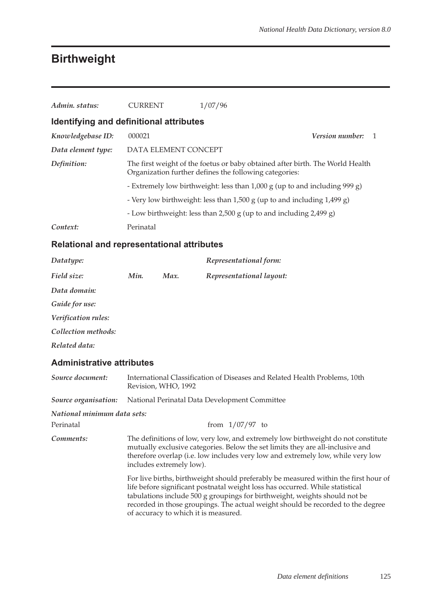### **Birthweight**

| Admin. status:                          | <b>CURRENT</b>       | 1/07/96                                                                                                                                 |                        |  |
|-----------------------------------------|----------------------|-----------------------------------------------------------------------------------------------------------------------------------------|------------------------|--|
| Identifying and definitional attributes |                      |                                                                                                                                         |                        |  |
| Knowledgebase ID:                       | 000021               |                                                                                                                                         | <i>Version number:</i> |  |
| Data element type:                      | DATA ELEMENT CONCEPT |                                                                                                                                         |                        |  |
| Definition:                             |                      | The first weight of the foetus or baby obtained after birth. The World Health<br>Organization further defines the following categories: |                        |  |
|                                         |                      | - Extremely low birthweight: less than 1,000 g (up to and including 999 g)                                                              |                        |  |
|                                         |                      | - Very low birthweight: less than 1,500 g (up to and including 1,499 g)                                                                 |                        |  |
|                                         |                      | - Low birthweight: less than 2,500 g (up to and including 2,499 g)                                                                      |                        |  |
| Context:                                | Perinatal            |                                                                                                                                         |                        |  |

#### **Relational and representational attributes**

| Datatype:                        |      |                     | Representational form:                                                     |  |  |
|----------------------------------|------|---------------------|----------------------------------------------------------------------------|--|--|
| Field size:                      | Min. | Max.                | Representational layout:                                                   |  |  |
| Data domain:                     |      |                     |                                                                            |  |  |
| Guide for use:                   |      |                     |                                                                            |  |  |
| Verification rules:              |      |                     |                                                                            |  |  |
| Collection methods:              |      |                     |                                                                            |  |  |
| Related data:                    |      |                     |                                                                            |  |  |
| <b>Administrative attributes</b> |      |                     |                                                                            |  |  |
| Source document:                 |      | Revision, WHO, 1992 | International Classification of Diseases and Related Health Problems, 10th |  |  |

*Source organisation:* National Perinatal Data Development Committee

#### *National minimum data sets:*

Perinatal from 1/07/97 to *Comments:* The definitions of low, very low, and extremely low birthweight do not constitute mutually exclusive categories. Below the set limits they are all-inclusive and therefore overlap (i.e. low includes very low and extremely low, while very low includes extremely low).

> For live births, birthweight should preferably be measured within the first hour of life before significant postnatal weight loss has occurred. While statistical tabulations include 500 g groupings for birthweight, weights should not be recorded in those groupings. The actual weight should be recorded to the degree of accuracy to which it is measured.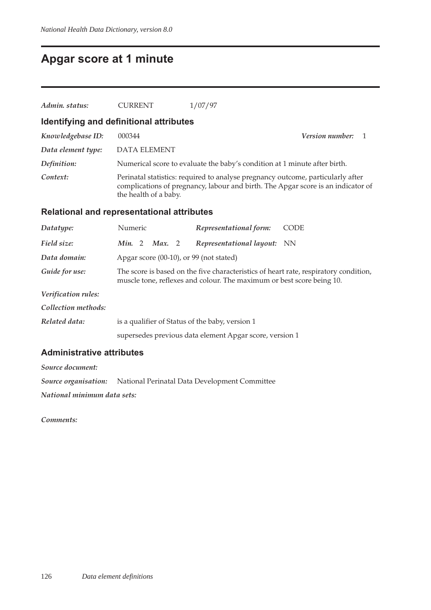## **Apgar score at 1 minute**

| Admin. status:     | <b>CURRENT</b>                              | 1/07/97                                                                                                                                                             |  |
|--------------------|---------------------------------------------|---------------------------------------------------------------------------------------------------------------------------------------------------------------------|--|
|                    | Identifying and definitional attributes     |                                                                                                                                                                     |  |
| Knowledgebase ID:  | 000344                                      | <i>Version number:</i>                                                                                                                                              |  |
| Data element type: | <b>DATA ELEMENT</b>                         |                                                                                                                                                                     |  |
| Definition:        |                                             | Numerical score to evaluate the baby's condition at 1 minute after birth.                                                                                           |  |
| Context:           | the health of a baby.                       | Perinatal statistics: required to analyse pregnancy outcome, particularly after<br>complications of pregnancy, labour and birth. The Apgar score is an indicator of |  |
|                    | Deletianal and venus sentational ethnikutas |                                                                                                                                                                     |  |

#### **Relational and representational attributes**

| Datatype:           | Numeric                                         | Representational form:                                                | <b>CODE</b>                                                                          |
|---------------------|-------------------------------------------------|-----------------------------------------------------------------------|--------------------------------------------------------------------------------------|
| Field size:         | Min. 2<br>Max. 2                                | Representational layout: NN                                           |                                                                                      |
| Data domain:        | Apgar score $(00-10)$ , or 99 (not stated)      |                                                                       |                                                                                      |
| Guide for use:      |                                                 | muscle tone, reflexes and colour. The maximum or best score being 10. | The score is based on the five characteristics of heart rate, respiratory condition, |
| Verification rules: |                                                 |                                                                       |                                                                                      |
| Collection methods: |                                                 |                                                                       |                                                                                      |
| Related data:       | is a qualifier of Status of the baby, version 1 |                                                                       |                                                                                      |
|                     |                                                 | supersedes previous data element Apgar score, version 1               |                                                                                      |

#### **Administrative attributes**

*Source document:*

*Source organisation:* National Perinatal Data Development Committee

*National minimum data sets:*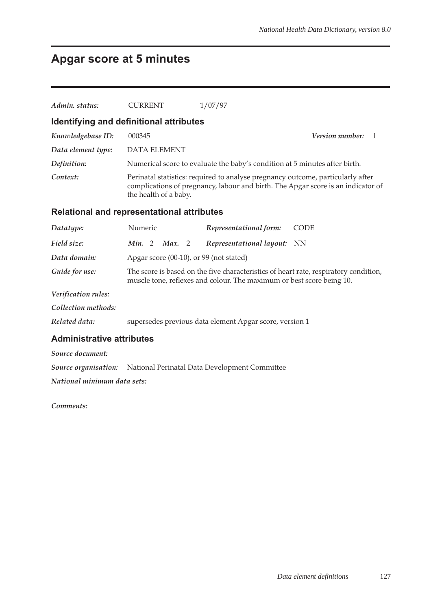# **Apgar score at 5 minutes**

| Admin. status:                          | <b>CURRENT</b>                                                                                                                                                                               | 1/07/97                                                                    |  |  |  |
|-----------------------------------------|----------------------------------------------------------------------------------------------------------------------------------------------------------------------------------------------|----------------------------------------------------------------------------|--|--|--|
| Identifying and definitional attributes |                                                                                                                                                                                              |                                                                            |  |  |  |
| Knowledgebase ID:                       | 000345                                                                                                                                                                                       | <b>Version number:</b><br>1                                                |  |  |  |
| Data element type:                      | <b>DATA ELEMENT</b>                                                                                                                                                                          |                                                                            |  |  |  |
| Definition:                             |                                                                                                                                                                                              | Numerical score to evaluate the baby's condition at 5 minutes after birth. |  |  |  |
| Context:                                | Perinatal statistics: required to analyse pregnancy outcome, particularly after<br>complications of pregnancy, labour and birth. The Apgar score is an indicator of<br>the health of a baby. |                                                                            |  |  |  |
|                                         | <b>Relational and representational attributes</b>                                                                                                                                            |                                                                            |  |  |  |
| Datatype:                               | Numeric                                                                                                                                                                                      | Representational form:<br><b>CODE</b>                                      |  |  |  |
| Field size:                             | Max. 2<br>Min. 2                                                                                                                                                                             | Representational layout:<br>NN                                             |  |  |  |
| Data domain:                            | Apgar score (00-10), or 99 (not stated)                                                                                                                                                      |                                                                            |  |  |  |
| Guide for use:                          | The score is based on the five characteristics of heart rate, respiratory condition,<br>muscle tone, reflexes and colour. The maximum or best score being 10.                                |                                                                            |  |  |  |
| Verification rules:                     |                                                                                                                                                                                              |                                                                            |  |  |  |
| Collection methods:                     |                                                                                                                                                                                              |                                                                            |  |  |  |
| Related data:                           |                                                                                                                                                                                              | supersedes previous data element Apgar score, version 1                    |  |  |  |
| <b>Administrative attributes</b>        |                                                                                                                                                                                              |                                                                            |  |  |  |
| Source document:                        |                                                                                                                                                                                              |                                                                            |  |  |  |
| Source organisation:                    |                                                                                                                                                                                              | National Perinatal Data Development Committee                              |  |  |  |

*National minimum data sets:*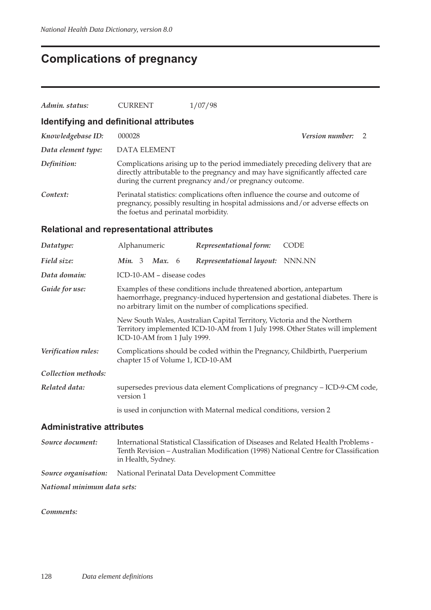# **Complications of pregnancy**

| Admin. status:                   | <b>CURRENT</b>                                                                                                                                                                                                         | 1/07/98                                                                                                                                                                                                                     |                                                                                    |  |  |
|----------------------------------|------------------------------------------------------------------------------------------------------------------------------------------------------------------------------------------------------------------------|-----------------------------------------------------------------------------------------------------------------------------------------------------------------------------------------------------------------------------|------------------------------------------------------------------------------------|--|--|
|                                  | Identifying and definitional attributes                                                                                                                                                                                |                                                                                                                                                                                                                             |                                                                                    |  |  |
| Knowledgebase ID:                | 000028                                                                                                                                                                                                                 |                                                                                                                                                                                                                             | Version number:<br>2                                                               |  |  |
| Data element type:               | <b>DATA ELEMENT</b>                                                                                                                                                                                                    |                                                                                                                                                                                                                             |                                                                                    |  |  |
| Definition:                      |                                                                                                                                                                                                                        | Complications arising up to the period immediately preceding delivery that are<br>directly attributable to the pregnancy and may have significantly affected care<br>during the current pregnancy and/or pregnancy outcome. |                                                                                    |  |  |
| Context:                         | the foetus and perinatal morbidity.                                                                                                                                                                                    | Perinatal statistics: complications often influence the course and outcome of<br>pregnancy, possibly resulting in hospital admissions and/or adverse effects on                                                             |                                                                                    |  |  |
|                                  | <b>Relational and representational attributes</b>                                                                                                                                                                      |                                                                                                                                                                                                                             |                                                                                    |  |  |
| Datatype:                        | Alphanumeric                                                                                                                                                                                                           | Representational form:                                                                                                                                                                                                      | <b>CODE</b>                                                                        |  |  |
| Field size:                      | Min. 3 Max. 6                                                                                                                                                                                                          | Representational layout:                                                                                                                                                                                                    | NNN.NN                                                                             |  |  |
| Data domain:                     | ICD-10-AM - disease codes                                                                                                                                                                                              |                                                                                                                                                                                                                             |                                                                                    |  |  |
| Guide for use:                   | Examples of these conditions include threatened abortion, antepartum<br>haemorrhage, pregnancy-induced hypertension and gestational diabetes. There is<br>no arbitrary limit on the number of complications specified. |                                                                                                                                                                                                                             |                                                                                    |  |  |
|                                  | ICD-10-AM from 1 July 1999.                                                                                                                                                                                            | New South Wales, Australian Capital Territory, Victoria and the Northern                                                                                                                                                    | Territory implemented ICD-10-AM from 1 July 1998. Other States will implement      |  |  |
| Verification rules:              | Complications should be coded within the Pregnancy, Childbirth, Puerperium<br>chapter 15 of Volume 1, ICD-10-AM                                                                                                        |                                                                                                                                                                                                                             |                                                                                    |  |  |
| Collection methods:              |                                                                                                                                                                                                                        |                                                                                                                                                                                                                             |                                                                                    |  |  |
| Related data:                    | version 1                                                                                                                                                                                                              |                                                                                                                                                                                                                             | supersedes previous data element Complications of pregnancy - ICD-9-CM code,       |  |  |
|                                  |                                                                                                                                                                                                                        | is used in conjunction with Maternal medical conditions, version 2                                                                                                                                                          |                                                                                    |  |  |
| <b>Administrative attributes</b> |                                                                                                                                                                                                                        |                                                                                                                                                                                                                             |                                                                                    |  |  |
| Source document:                 | in Health, Sydney.                                                                                                                                                                                                     | International Statistical Classification of Diseases and Related Health Problems -                                                                                                                                          | Tenth Revision - Australian Modification (1998) National Centre for Classification |  |  |
| Source organisation:             |                                                                                                                                                                                                                        | National Perinatal Data Development Committee                                                                                                                                                                               |                                                                                    |  |  |

*National minimum data sets:*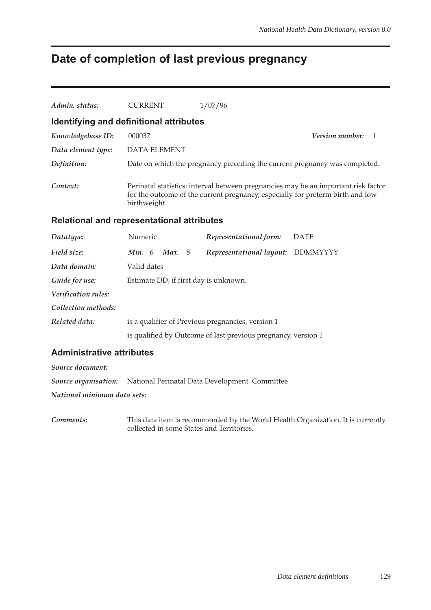# **Date of completion of last previous pregnancy**

| Admin, status:     | <b>CURRENT</b>                          | 1/07/96                                                                                                                                                              |
|--------------------|-----------------------------------------|----------------------------------------------------------------------------------------------------------------------------------------------------------------------|
|                    | Identifying and definitional attributes |                                                                                                                                                                      |
| Knowledgebase ID:  | 000037                                  | <i>Version number:</i><br>$\overline{1}$                                                                                                                             |
| Data element type: | DATA ELEMENT                            |                                                                                                                                                                      |
| Definition:        |                                         | Date on which the pregnancy preceding the current pregnancy was completed.                                                                                           |
| Context:           | birthweight.                            | Perinatal statistics: interval between pregnancies may be an important risk factor<br>for the outcome of the current pregnancy, especially for preterm birth and low |

#### **Relational and representational attributes**

| Datatype:           | Numeric                               | Representational form:                                        | <b>DATE</b> |
|---------------------|---------------------------------------|---------------------------------------------------------------|-------------|
| Field size:         | <i>Min.</i> $6$<br><b>Max.</b> 8      | Representational layout:                                      | DDMMYYYY    |
| Data domain:        | Valid dates                           |                                                               |             |
| Guide for use:      | Estimate DD, if first day is unknown. |                                                               |             |
| Verification rules: |                                       |                                                               |             |
| Collection methods: |                                       |                                                               |             |
| Related data:       |                                       | is a qualifier of Previous pregnancies, version 1             |             |
|                     |                                       | is qualified by Outcome of last previous pregnancy, version 1 |             |

#### **Administrative attributes**

*Source document:*

*Source organisation:* National Perinatal Data Development Committee

*National minimum data sets:*

*Comments:* This data item is recommended by the World Health Organization. It is currently collected in some States and Territories.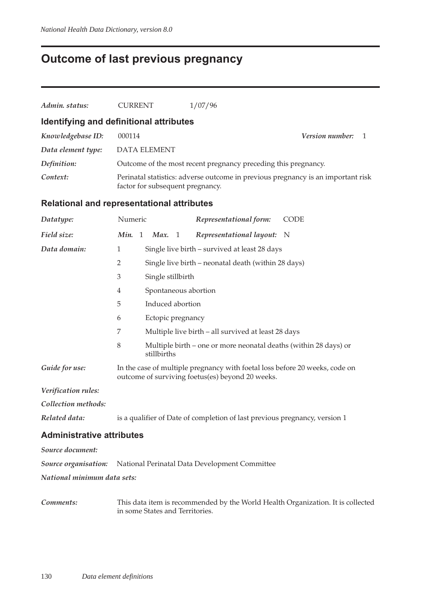# **Outcome of last previous pregnancy**

| Admin. status:                                    | <b>CURRENT</b>                                                                                                       |  |                   |  | 1/07/96                                                        |                                        |
|---------------------------------------------------|----------------------------------------------------------------------------------------------------------------------|--|-------------------|--|----------------------------------------------------------------|----------------------------------------|
| Identifying and definitional attributes           |                                                                                                                      |  |                   |  |                                                                |                                        |
| Knowledgebase ID:                                 | 000114                                                                                                               |  |                   |  |                                                                | <b>Version number:</b><br>$\mathbf{1}$ |
| Data element type:                                | DATA ELEMENT                                                                                                         |  |                   |  |                                                                |                                        |
| Definition:                                       |                                                                                                                      |  |                   |  | Outcome of the most recent pregnancy preceding this pregnancy. |                                        |
| Context:                                          | Perinatal statistics: adverse outcome in previous pregnancy is an important risk<br>factor for subsequent pregnancy. |  |                   |  |                                                                |                                        |
| <b>Relational and representational attributes</b> |                                                                                                                      |  |                   |  |                                                                |                                        |
| Datatype:                                         | Numeric                                                                                                              |  |                   |  | Representational form:                                         | <b>CODE</b>                            |
| Field size:                                       | <i>Min.</i> 1 <i>Max.</i> 1                                                                                          |  |                   |  | Representational layout:                                       | - N                                    |
| Data domain:                                      | 1                                                                                                                    |  |                   |  | Single live birth – survived at least 28 days                  |                                        |
|                                                   | $\overline{2}$                                                                                                       |  |                   |  | Single live birth – neonatal death (within 28 days)            |                                        |
|                                                   | 3                                                                                                                    |  | Single stillbirth |  |                                                                |                                        |
|                                                   | 4                                                                                                                    |  |                   |  | Spontaneous abortion                                           |                                        |
|                                                   | 5                                                                                                                    |  | Induced abortion  |  |                                                                |                                        |
|                                                   | 6                                                                                                                    |  | Ectopic pregnancy |  |                                                                |                                        |

7 Multiple live birth – all survived at least 28 days

*Guide for use:* In the case of multiple pregnancy with foetal loss before 20 weeks, code on outcome of surviving foetus(es) beyond 20 weeks.

*Related data:* is a qualifier of Date of completion of last previous pregnancy, version 1

8 Multiple birth – one or more neonatal deaths (within 28 days) or

#### **Administrative attributes**

*Verification rules: Collection methods:*

| Source document:            |                                                                           |  |  |  |  |
|-----------------------------|---------------------------------------------------------------------------|--|--|--|--|
|                             | <b>Source organisation:</b> National Perinatal Data Development Committee |  |  |  |  |
| National minimum data sets: |                                                                           |  |  |  |  |

stillbirths

*Comments:* This data item is recommended by the World Health Organization. It is collected in some States and Territories.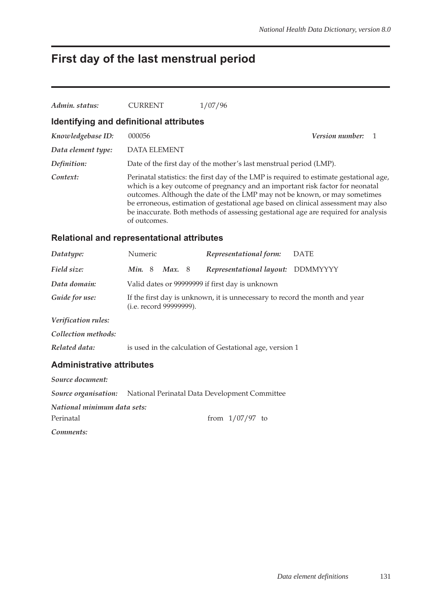## **First day of the last menstrual period**

| Admin. status:                          | <b>CURRENT</b> | 1/07/96                                                                                                                                                                                                                                                                                                                                                                                                                          |                        |  |
|-----------------------------------------|----------------|----------------------------------------------------------------------------------------------------------------------------------------------------------------------------------------------------------------------------------------------------------------------------------------------------------------------------------------------------------------------------------------------------------------------------------|------------------------|--|
| Identifying and definitional attributes |                |                                                                                                                                                                                                                                                                                                                                                                                                                                  |                        |  |
| Knowledgebase ID:                       | 000056         |                                                                                                                                                                                                                                                                                                                                                                                                                                  | <i>Version number:</i> |  |
| Data element type:                      | DATA ELEMENT   |                                                                                                                                                                                                                                                                                                                                                                                                                                  |                        |  |
| Definition:                             |                | Date of the first day of the mother's last menstrual period (LMP).                                                                                                                                                                                                                                                                                                                                                               |                        |  |
| Context:                                | of outcomes.   | Perinatal statistics: the first day of the LMP is required to estimate gestational age,<br>which is a key outcome of pregnancy and an important risk factor for neonatal<br>outcomes. Although the date of the LMP may not be known, or may sometimes<br>be erroneous, estimation of gestational age based on clinical assessment may also<br>be inaccurate. Both methods of assessing gestational age are required for analysis |                        |  |

#### **Relational and representational attributes**

| Datatype:           | Numeric                                                                                                        |  |               |  | Representational form:                          | <b>DATE</b> |
|---------------------|----------------------------------------------------------------------------------------------------------------|--|---------------|--|-------------------------------------------------|-------------|
| Field size:         | Min.8                                                                                                          |  | <b>Max.</b> 8 |  | Representational layout: DDMMYYYY               |             |
| Data domain:        |                                                                                                                |  |               |  | Valid dates or 99999999 if first day is unknown |             |
| Guide for use:      | If the first day is unknown, it is unnecessary to record the month and year<br>( <i>i.e.</i> record 99999999). |  |               |  |                                                 |             |
| Verification rules: |                                                                                                                |  |               |  |                                                 |             |

*Collection methods:*

*Related data:* is used in the calculation of Gestational age, version 1

#### **Administrative attributes**

| Source document:            |                                                                           |
|-----------------------------|---------------------------------------------------------------------------|
|                             | <b>Source organisation:</b> National Perinatal Data Development Committee |
| National minimum data sets: |                                                                           |
| Perinatal                   | from $1/07/97$ to                                                         |
| Comments:                   |                                                                           |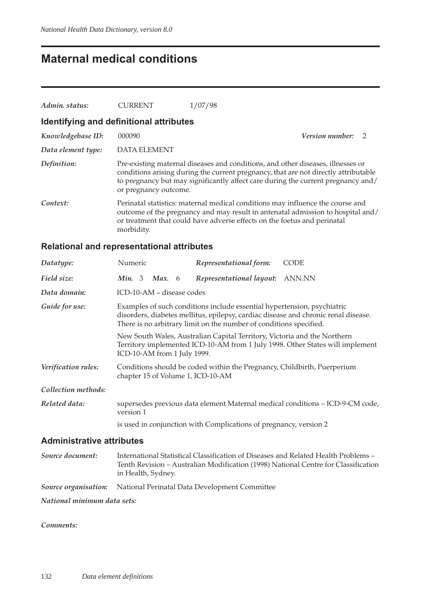## **Maternal medical conditions**

| Admin. status:                          | <b>CURRENT</b>        | 1/07/98                                                                                                                                                                                                                                                    |                 |               |  |  |  |  |  |
|-----------------------------------------|-----------------------|------------------------------------------------------------------------------------------------------------------------------------------------------------------------------------------------------------------------------------------------------------|-----------------|---------------|--|--|--|--|--|
| Identifying and definitional attributes |                       |                                                                                                                                                                                                                                                            |                 |               |  |  |  |  |  |
| Knowledgebase ID:                       | 000090                |                                                                                                                                                                                                                                                            | Version number: | $\mathcal{P}$ |  |  |  |  |  |
| Data element type:                      | <b>DATA ELEMENT</b>   |                                                                                                                                                                                                                                                            |                 |               |  |  |  |  |  |
| Definition:                             | or pregnancy outcome. | Pre-existing maternal diseases and conditions, and other diseases, illnesses or<br>conditions arising during the current pregnancy, that are not directly attributable<br>to pregnancy but may significantly affect care during the current pregnancy and/ |                 |               |  |  |  |  |  |
| Context:                                | morbidity.            | Perinatal statistics: maternal medical conditions may influence the course and<br>outcome of the pregnancy and may result in antenatal admission to hospital and/<br>or treatment that could have adverse effects on the foetus and perinatal              |                 |               |  |  |  |  |  |

### **Relational and representational attributes**

| Datatype:                        | Numeric                           | Representational form:                                                                                                                        | <b>CODE</b>                                                                        |
|----------------------------------|-----------------------------------|-----------------------------------------------------------------------------------------------------------------------------------------------|------------------------------------------------------------------------------------|
| Field size:                      | <b>Min.</b> 3 <b>Max.</b> 6       | Representational layout:                                                                                                                      | ANN.NN                                                                             |
| Data domain:                     | ICD-10-AM – disease codes         |                                                                                                                                               |                                                                                    |
| Guide for use:                   |                                   | Examples of such conditions include essential hypertension, psychiatric<br>There is no arbitrary limit on the number of conditions specified. | disorders, diabetes mellitus, epilepsy, cardiac disease and chronic renal disease. |
|                                  | ICD-10-AM from 1 July 1999.       | New South Wales, Australian Capital Territory, Victoria and the Northern                                                                      | Territory implemented ICD-10-AM from 1 July 1998. Other States will implement      |
| Verification rules:              | chapter 15 of Volume 1, ICD-10-AM | Conditions should be coded within the Pregnancy, Childbirth, Puerperium                                                                       |                                                                                    |
| Collection methods:              |                                   |                                                                                                                                               |                                                                                    |
| Related data:                    | version 1                         |                                                                                                                                               | supersedes previous data element Maternal medical conditions - ICD-9-CM code,      |
|                                  |                                   | is used in conjunction with Complications of pregnancy, version 2                                                                             |                                                                                    |
| <b>Administrative attributes</b> |                                   |                                                                                                                                               |                                                                                    |

| Source document:            | International Statistical Classification of Diseases and Related Health Problems -<br>Tenth Revision – Australian Modification (1998) National Centre for Classification<br>in Health, Sydney. |
|-----------------------------|------------------------------------------------------------------------------------------------------------------------------------------------------------------------------------------------|
|                             | <b>Source organisation:</b> National Perinatal Data Development Committee                                                                                                                      |
| National minimum data sets: |                                                                                                                                                                                                |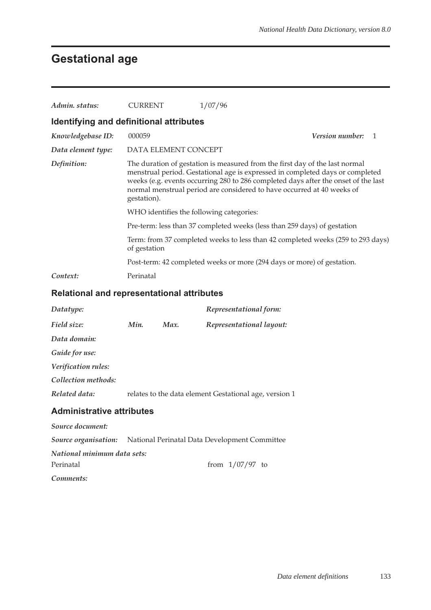# **Gestational age**

| Admin, status:                          | CURRENT                                                                                                                                                                                                                                                                                                                                     | 1/07/96                                                                         |                        |  |  |  |
|-----------------------------------------|---------------------------------------------------------------------------------------------------------------------------------------------------------------------------------------------------------------------------------------------------------------------------------------------------------------------------------------------|---------------------------------------------------------------------------------|------------------------|--|--|--|
| Identifying and definitional attributes |                                                                                                                                                                                                                                                                                                                                             |                                                                                 |                        |  |  |  |
| Knowledgebase ID:                       | 000059                                                                                                                                                                                                                                                                                                                                      |                                                                                 | <i>Version number:</i> |  |  |  |
| Data element type:                      | DATA ELEMENT CONCEPT                                                                                                                                                                                                                                                                                                                        |                                                                                 |                        |  |  |  |
| Definition:                             | The duration of gestation is measured from the first day of the last normal<br>menstrual period. Gestational age is expressed in completed days or completed<br>weeks (e.g. events occurring 280 to 286 completed days after the onset of the last<br>normal menstrual period are considered to have occurred at 40 weeks of<br>gestation). |                                                                                 |                        |  |  |  |
|                                         | WHO identifies the following categories:                                                                                                                                                                                                                                                                                                    |                                                                                 |                        |  |  |  |
|                                         |                                                                                                                                                                                                                                                                                                                                             | Pre-term: less than 37 completed weeks (less than 259 days) of gestation        |                        |  |  |  |
|                                         | of gestation                                                                                                                                                                                                                                                                                                                                | Term: from 37 completed weeks to less than 42 completed weeks (259 to 293 days) |                        |  |  |  |
|                                         |                                                                                                                                                                                                                                                                                                                                             | Post-term: 42 completed weeks or more (294 days or more) of gestation.          |                        |  |  |  |
| Context:                                | Perinatal                                                                                                                                                                                                                                                                                                                                   |                                                                                 |                        |  |  |  |

### **Relational and representational attributes**

| Datatype:                                                                 |      |      | Representational form:                                 |
|---------------------------------------------------------------------------|------|------|--------------------------------------------------------|
| Field size:                                                               | Min. | Max. | Representational layout:                               |
| Data domain:                                                              |      |      |                                                        |
| Guide for use:                                                            |      |      |                                                        |
| Verification rules:                                                       |      |      |                                                        |
| Collection methods:                                                       |      |      |                                                        |
| Related data:                                                             |      |      | relates to the data element Gestational age, version 1 |
| <b>Administrative attributes</b>                                          |      |      |                                                        |
| Source document:                                                          |      |      |                                                        |
| <b>Source organisation:</b> National Perinatal Data Development Committee |      |      |                                                        |
| National minimum data sets:                                               |      |      |                                                        |
| Perinatal                                                                 |      |      | from $1/07/97$ to                                      |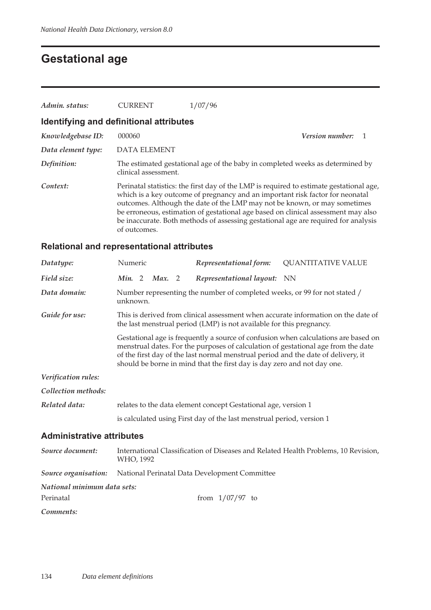# **Gestational age**

| Admin. status:                          | <b>CURRENT</b>       | 1/07/96                                                                                                                                                                                                                                                                                                                                                                                                                          |  |  |  |  |  |  |  |
|-----------------------------------------|----------------------|----------------------------------------------------------------------------------------------------------------------------------------------------------------------------------------------------------------------------------------------------------------------------------------------------------------------------------------------------------------------------------------------------------------------------------|--|--|--|--|--|--|--|
| Identifying and definitional attributes |                      |                                                                                                                                                                                                                                                                                                                                                                                                                                  |  |  |  |  |  |  |  |
| Knowledgebase ID:                       | 000060               | <i>Version number:</i>                                                                                                                                                                                                                                                                                                                                                                                                           |  |  |  |  |  |  |  |
| Data element type:                      | <b>DATA ELEMENT</b>  |                                                                                                                                                                                                                                                                                                                                                                                                                                  |  |  |  |  |  |  |  |
| Definition:                             | clinical assessment. | The estimated gestational age of the baby in completed weeks as determined by                                                                                                                                                                                                                                                                                                                                                    |  |  |  |  |  |  |  |
| Context:                                | of outcomes.         | Perinatal statistics: the first day of the LMP is required to estimate gestational age,<br>which is a key outcome of pregnancy and an important risk factor for neonatal<br>outcomes. Although the date of the LMP may not be known, or may sometimes<br>be erroneous, estimation of gestational age based on clinical assessment may also<br>be inaccurate. Both methods of assessing gestational age are required for analysis |  |  |  |  |  |  |  |

### **Relational and representational attributes**

| Datatype:                        | Numeric                                                                                                                                                                                                                                                                                                                                 |                                                                                       |        |  | Representational form:                                               | <b>QUANTITATIVE VALUE</b>                                                          |  |  |  |
|----------------------------------|-----------------------------------------------------------------------------------------------------------------------------------------------------------------------------------------------------------------------------------------------------------------------------------------------------------------------------------------|---------------------------------------------------------------------------------------|--------|--|----------------------------------------------------------------------|------------------------------------------------------------------------------------|--|--|--|
| Field size:                      | Min. 2                                                                                                                                                                                                                                                                                                                                  |                                                                                       | Max. 2 |  | Representational layout: NN                                          |                                                                                    |  |  |  |
| Data domain:                     |                                                                                                                                                                                                                                                                                                                                         | Number representing the number of completed weeks, or 99 for not stated /<br>unknown. |        |  |                                                                      |                                                                                    |  |  |  |
| Guide for use:                   |                                                                                                                                                                                                                                                                                                                                         |                                                                                       |        |  | the last menstrual period (LMP) is not available for this pregnancy. | This is derived from clinical assessment when accurate information on the date of  |  |  |  |
|                                  | Gestational age is frequently a source of confusion when calculations are based on<br>menstrual dates. For the purposes of calculation of gestational age from the date<br>of the first day of the last normal menstrual period and the date of delivery, it<br>should be borne in mind that the first day is day zero and not day one. |                                                                                       |        |  |                                                                      |                                                                                    |  |  |  |
| Verification rules:              |                                                                                                                                                                                                                                                                                                                                         |                                                                                       |        |  |                                                                      |                                                                                    |  |  |  |
| Collection methods:              |                                                                                                                                                                                                                                                                                                                                         |                                                                                       |        |  |                                                                      |                                                                                    |  |  |  |
| Related data:                    | relates to the data element concept Gestational age, version 1                                                                                                                                                                                                                                                                          |                                                                                       |        |  |                                                                      |                                                                                    |  |  |  |
|                                  | is calculated using First day of the last menstrual period, version 1                                                                                                                                                                                                                                                                   |                                                                                       |        |  |                                                                      |                                                                                    |  |  |  |
| <b>Administrative attributes</b> |                                                                                                                                                                                                                                                                                                                                         |                                                                                       |        |  |                                                                      |                                                                                    |  |  |  |
| Source document:                 | WHO, 1992                                                                                                                                                                                                                                                                                                                               |                                                                                       |        |  |                                                                      | International Classification of Diseases and Related Health Problems, 10 Revision, |  |  |  |
| Source organisation:             |                                                                                                                                                                                                                                                                                                                                         |                                                                                       |        |  | National Perinatal Data Development Committee                        |                                                                                    |  |  |  |
| National minimum data sets:      |                                                                                                                                                                                                                                                                                                                                         |                                                                                       |        |  |                                                                      |                                                                                    |  |  |  |
| Perinatal                        |                                                                                                                                                                                                                                                                                                                                         |                                                                                       |        |  | from $1/07/97$ to                                                    |                                                                                    |  |  |  |
| Comments:                        |                                                                                                                                                                                                                                                                                                                                         |                                                                                       |        |  |                                                                      |                                                                                    |  |  |  |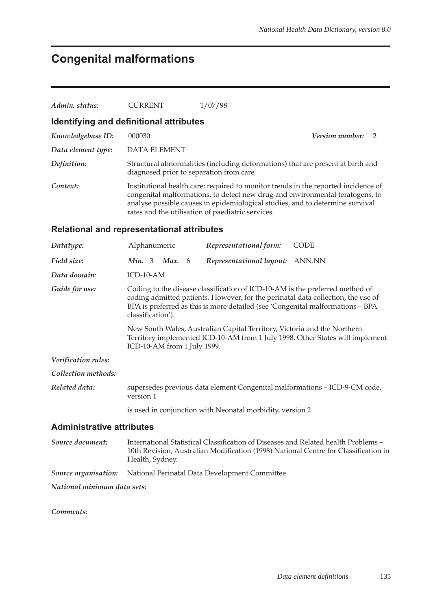# **Congenital malformations**

| Admin. status:                                    | <b>CURRENT</b>                                                                                                                                                                                                                                                          | 1/07/98                                                                                                                                                                                                                                                                                                   |                                                                                     |  |  |  |  |
|---------------------------------------------------|-------------------------------------------------------------------------------------------------------------------------------------------------------------------------------------------------------------------------------------------------------------------------|-----------------------------------------------------------------------------------------------------------------------------------------------------------------------------------------------------------------------------------------------------------------------------------------------------------|-------------------------------------------------------------------------------------|--|--|--|--|
| Identifying and definitional attributes           |                                                                                                                                                                                                                                                                         |                                                                                                                                                                                                                                                                                                           |                                                                                     |  |  |  |  |
| Knowledgebase ID:                                 | 000030                                                                                                                                                                                                                                                                  |                                                                                                                                                                                                                                                                                                           | <b>Version number:</b><br>2                                                         |  |  |  |  |
| Data element type:                                | <b>DATA ELEMENT</b>                                                                                                                                                                                                                                                     |                                                                                                                                                                                                                                                                                                           |                                                                                     |  |  |  |  |
| Definition:                                       | diagnosed prior to separation from care.                                                                                                                                                                                                                                | Structural abnormalities (including deformations) that are present at birth and                                                                                                                                                                                                                           |                                                                                     |  |  |  |  |
| Context:                                          |                                                                                                                                                                                                                                                                         | Institutional health care: required to monitor trends in the reported incidence of<br>congenital malformations, to detect new drug and environmental teratogens, to<br>analyse possible causes in epidemiological studies, and to determine survival<br>rates and the utilisation of paediatric services. |                                                                                     |  |  |  |  |
| <b>Relational and representational attributes</b> |                                                                                                                                                                                                                                                                         |                                                                                                                                                                                                                                                                                                           |                                                                                     |  |  |  |  |
| Datatype:                                         | Alphanumeric                                                                                                                                                                                                                                                            | Representational form:                                                                                                                                                                                                                                                                                    | CODE                                                                                |  |  |  |  |
| Field size:                                       | Min. 3 Max. 6                                                                                                                                                                                                                                                           | Representational layout: ANN.NN                                                                                                                                                                                                                                                                           |                                                                                     |  |  |  |  |
| Data domain:                                      | $ICD-10-AM$                                                                                                                                                                                                                                                             |                                                                                                                                                                                                                                                                                                           |                                                                                     |  |  |  |  |
| Guide for use:                                    | Coding to the disease classification of ICD-10-AM is the preferred method of<br>coding admitted patients. However, for the perinatal data collection, the use of<br>BPA is preferred as this is more detailed (see 'Congenital malformations - BPA<br>classification'). |                                                                                                                                                                                                                                                                                                           |                                                                                     |  |  |  |  |
|                                                   | New South Wales, Australian Capital Territory, Victoria and the Northern<br>Territory implemented ICD-10-AM from 1 July 1998. Other States will implement<br>ICD-10-AM from 1 July 1999.                                                                                |                                                                                                                                                                                                                                                                                                           |                                                                                     |  |  |  |  |
| Verification rules:                               |                                                                                                                                                                                                                                                                         |                                                                                                                                                                                                                                                                                                           |                                                                                     |  |  |  |  |
| Collection methods:                               |                                                                                                                                                                                                                                                                         |                                                                                                                                                                                                                                                                                                           |                                                                                     |  |  |  |  |
| Related data:                                     | version 1                                                                                                                                                                                                                                                               | supersedes previous data element Congenital malformations - ICD-9-CM code,                                                                                                                                                                                                                                |                                                                                     |  |  |  |  |
|                                                   |                                                                                                                                                                                                                                                                         | is used in conjunction with Neonatal morbidity, version 2                                                                                                                                                                                                                                                 |                                                                                     |  |  |  |  |
| <b>Administrative attributes</b>                  |                                                                                                                                                                                                                                                                         |                                                                                                                                                                                                                                                                                                           |                                                                                     |  |  |  |  |
| Source document:                                  | Health, Sydney.                                                                                                                                                                                                                                                         | International Statistical Classification of Diseases and Related health Problems -                                                                                                                                                                                                                        | 10th Revision, Australian Modification (1998) National Centre for Classification in |  |  |  |  |
| Source organisation:                              |                                                                                                                                                                                                                                                                         | National Perinatal Data Development Committee                                                                                                                                                                                                                                                             |                                                                                     |  |  |  |  |
| National minimum data sets:                       |                                                                                                                                                                                                                                                                         |                                                                                                                                                                                                                                                                                                           |                                                                                     |  |  |  |  |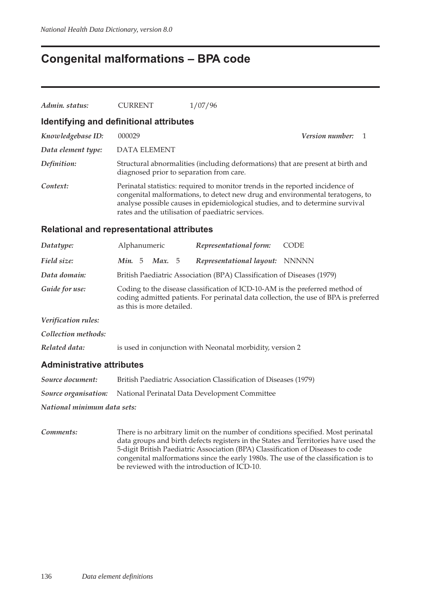### **Congenital malformations – BPA code**

| Admin. status:                                    | <b>CURRENT</b>                           | 1/07/96                                                                                                                                                                                                                                                                                              |
|---------------------------------------------------|------------------------------------------|------------------------------------------------------------------------------------------------------------------------------------------------------------------------------------------------------------------------------------------------------------------------------------------------------|
| Identifying and definitional attributes           |                                          |                                                                                                                                                                                                                                                                                                      |
| Knowledgebase ID:                                 | 000029                                   | Version number:<br>1                                                                                                                                                                                                                                                                                 |
| Data element type:                                | <b>DATA ELEMENT</b>                      |                                                                                                                                                                                                                                                                                                      |
| Definition:                                       | diagnosed prior to separation from care. | Structural abnormalities (including deformations) that are present at birth and                                                                                                                                                                                                                      |
| Context:                                          |                                          | Perinatal statistics: required to monitor trends in the reported incidence of<br>congenital malformations, to detect new drug and environmental teratogens, to<br>analyse possible causes in epidemiological studies, and to determine survival<br>rates and the utilisation of paediatric services. |
| <b>Relational and representational attributes</b> |                                          |                                                                                                                                                                                                                                                                                                      |
| Datatype:                                         | Alphanumeric                             | Representational form:<br><b>CODE</b>                                                                                                                                                                                                                                                                |
| Field size:                                       | Min. $5$<br>Max. 5                       | Representational layout:<br><b>NNNNN</b>                                                                                                                                                                                                                                                             |
| Data domain:                                      |                                          | British Paediatric Association (BPA) Classification of Diseases (1979)                                                                                                                                                                                                                               |
| Guide for use:                                    | as this is more detailed.                | Coding to the disease classification of ICD-10-AM is the preferred method of<br>coding admitted patients. For perinatal data collection, the use of BPA is preferred                                                                                                                                 |
| Verification rules:                               |                                          |                                                                                                                                                                                                                                                                                                      |
| Collection methods:                               |                                          |                                                                                                                                                                                                                                                                                                      |
| Related data:                                     |                                          | is used in conjunction with Neonatal morbidity, version 2                                                                                                                                                                                                                                            |
| <b>Administrative attributes</b>                  |                                          |                                                                                                                                                                                                                                                                                                      |
| Source document:                                  |                                          | British Paediatric Association Classification of Diseases (1979)                                                                                                                                                                                                                                     |

*Source organisation:* National Perinatal Data Development Committee

*National minimum data sets:*

*Comments:* There is no arbitrary limit on the number of conditions specified. Most perinatal data groups and birth defects registers in the States and Territories have used the 5-digit British Paediatric Association (BPA) Classification of Diseases to code congenital malformations since the early 1980s. The use of the classification is to be reviewed with the introduction of ICD-10.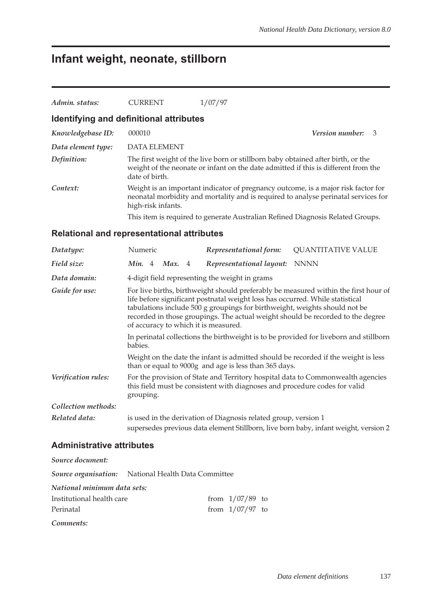## **Infant weight, neonate, stillborn**

| Admin. status:     | <b>CURRENT</b>                          | 1/07/97                                                                                                                                                                 |                          |  |
|--------------------|-----------------------------------------|-------------------------------------------------------------------------------------------------------------------------------------------------------------------------|--------------------------|--|
|                    | Identifying and definitional attributes |                                                                                                                                                                         |                          |  |
| Knowledgebase ID:  | 000010                                  |                                                                                                                                                                         | <b>Version number:</b> 3 |  |
| Data element type: | <b>DATA ELEMENT</b>                     |                                                                                                                                                                         |                          |  |
| Definition:        | date of birth.                          | The first weight of the live born or stillborn baby obtained after birth, or the<br>weight of the neonate or infant on the date admitted if this is different from the  |                          |  |
| Context:           | high-risk infants.                      | Weight is an important indicator of pregnancy outcome, is a major risk factor for<br>neonatal morbidity and mortality and is required to analyse perinatal services for |                          |  |
|                    |                                         | This item is required to generate Australian Refined Diagnosis Related Groups.                                                                                          |                          |  |
|                    |                                         |                                                                                                                                                                         |                          |  |

#### **Relational and representational attributes**

| Datatype:           | Numeric                                                                                                                                                                                                                                                                                                                                                                       |  |        |  | Representational form:                                                     | <b>QUANTITATIVE VALUE</b>                                                            |
|---------------------|-------------------------------------------------------------------------------------------------------------------------------------------------------------------------------------------------------------------------------------------------------------------------------------------------------------------------------------------------------------------------------|--|--------|--|----------------------------------------------------------------------------|--------------------------------------------------------------------------------------|
| Field size:         | Min. 4                                                                                                                                                                                                                                                                                                                                                                        |  | Max. 4 |  | Representational layout:                                                   | <b>NNNN</b>                                                                          |
| Data domain:        |                                                                                                                                                                                                                                                                                                                                                                               |  |        |  | 4-digit field representing the weight in grams                             |                                                                                      |
| Guide for use:      | For live births, birthweight should preferably be measured within the first hour of<br>life before significant postnatal weight loss has occurred. While statistical<br>tabulations include 500 g groupings for birthweight, weights should not be<br>recorded in those groupings. The actual weight should be recorded to the degree<br>of accuracy to which it is measured. |  |        |  |                                                                            |                                                                                      |
|                     | In perinatal collections the birthweight is to be provided for liveborn and stillborn<br>babies.                                                                                                                                                                                                                                                                              |  |        |  |                                                                            |                                                                                      |
|                     |                                                                                                                                                                                                                                                                                                                                                                               |  |        |  | than or equal to 9000g and age is less than 365 days.                      | Weight on the date the infant is admitted should be recorded if the weight is less   |
| Verification rules: | grouping.                                                                                                                                                                                                                                                                                                                                                                     |  |        |  | this field must be consistent with diagnoses and procedure codes for valid | For the provision of State and Territory hospital data to Commonwealth agencies      |
| Collection methods: |                                                                                                                                                                                                                                                                                                                                                                               |  |        |  |                                                                            |                                                                                      |
| Related data:       |                                                                                                                                                                                                                                                                                                                                                                               |  |        |  | is used in the derivation of Diagnosis related group, version 1            | supersedes previous data element Stillborn, live born baby, infant weight, version 2 |

#### **Administrative attributes**

| Source document:                                           |  |                   |  |
|------------------------------------------------------------|--|-------------------|--|
| <b>Source organisation:</b> National Health Data Committee |  |                   |  |
| National minimum data sets:                                |  |                   |  |
| Institutional health care                                  |  | from $1/07/89$ to |  |
| Perinatal                                                  |  | from $1/07/97$ to |  |
| Comments:                                                  |  |                   |  |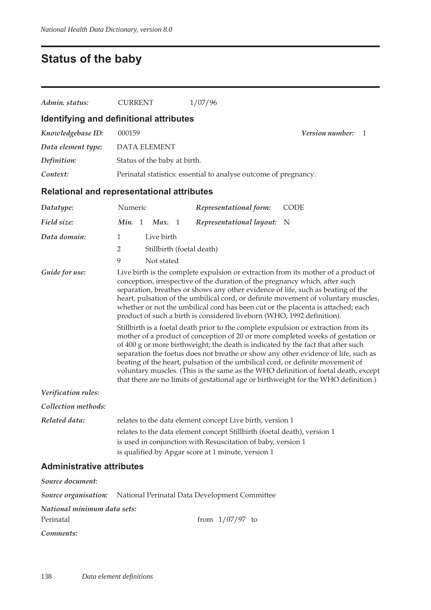# **Status of the baby**

| Admin. status:                                    | <b>CURRENT</b>                                                                               | 1/07/96                                                                                                                                                                                                                                                                                                                                                                                                                                                                                                                                                                                                                                                                                                                                                                                                                                                                                                                                                                                                                                |                                                                                    |  |  |  |  |  |
|---------------------------------------------------|----------------------------------------------------------------------------------------------|----------------------------------------------------------------------------------------------------------------------------------------------------------------------------------------------------------------------------------------------------------------------------------------------------------------------------------------------------------------------------------------------------------------------------------------------------------------------------------------------------------------------------------------------------------------------------------------------------------------------------------------------------------------------------------------------------------------------------------------------------------------------------------------------------------------------------------------------------------------------------------------------------------------------------------------------------------------------------------------------------------------------------------------|------------------------------------------------------------------------------------|--|--|--|--|--|
| Identifying and definitional attributes           |                                                                                              |                                                                                                                                                                                                                                                                                                                                                                                                                                                                                                                                                                                                                                                                                                                                                                                                                                                                                                                                                                                                                                        |                                                                                    |  |  |  |  |  |
| Knowledgebase ID:                                 | 000159                                                                                       |                                                                                                                                                                                                                                                                                                                                                                                                                                                                                                                                                                                                                                                                                                                                                                                                                                                                                                                                                                                                                                        | <i>Version number:</i><br>1                                                        |  |  |  |  |  |
| Data element type:                                | <b>DATA ELEMENT</b>                                                                          |                                                                                                                                                                                                                                                                                                                                                                                                                                                                                                                                                                                                                                                                                                                                                                                                                                                                                                                                                                                                                                        |                                                                                    |  |  |  |  |  |
| Definition:                                       | Status of the baby at birth.                                                                 |                                                                                                                                                                                                                                                                                                                                                                                                                                                                                                                                                                                                                                                                                                                                                                                                                                                                                                                                                                                                                                        |                                                                                    |  |  |  |  |  |
| Context:                                          |                                                                                              | Perinatal statistics: essential to analyse outcome of pregnancy.                                                                                                                                                                                                                                                                                                                                                                                                                                                                                                                                                                                                                                                                                                                                                                                                                                                                                                                                                                       |                                                                                    |  |  |  |  |  |
| <b>Relational and representational attributes</b> |                                                                                              |                                                                                                                                                                                                                                                                                                                                                                                                                                                                                                                                                                                                                                                                                                                                                                                                                                                                                                                                                                                                                                        |                                                                                    |  |  |  |  |  |
| Datatype:                                         | Numeric                                                                                      | Representational form:                                                                                                                                                                                                                                                                                                                                                                                                                                                                                                                                                                                                                                                                                                                                                                                                                                                                                                                                                                                                                 | <b>CODE</b>                                                                        |  |  |  |  |  |
| Field size:                                       | Min. 1<br>Max. 1                                                                             | Representational layout:                                                                                                                                                                                                                                                                                                                                                                                                                                                                                                                                                                                                                                                                                                                                                                                                                                                                                                                                                                                                               | N                                                                                  |  |  |  |  |  |
| Data domain:<br>Guide for use:                    | Live birth<br>$\mathbf{1}$<br>$\overline{2}$<br>Stillbirth (foetal death)<br>9<br>Not stated |                                                                                                                                                                                                                                                                                                                                                                                                                                                                                                                                                                                                                                                                                                                                                                                                                                                                                                                                                                                                                                        | Live birth is the complete expulsion or extraction from its mother of a product of |  |  |  |  |  |
|                                                   |                                                                                              | conception, irrespective of the duration of the pregnancy which, after such<br>separation, breathes or shows any other evidence of life, such as beating of the<br>heart, pulsation of the umbilical cord, or definite movement of voluntary muscles,<br>whether or not the umbilical cord has been cut or the placenta is attached; each<br>product of such a birth is considered liveborn (WHO, 1992 definition).<br>Stillbirth is a foetal death prior to the complete expulsion or extraction from its<br>mother of a product of conception of 20 or more completed weeks of gestation or<br>of 400 g or more birthweight; the death is indicated by the fact that after such<br>separation the foetus does not breathe or show any other evidence of life, such as<br>beating of the heart, pulsation of the umbilical cord, or definite movement of<br>voluntary muscles. (This is the same as the WHO definition of foetal death, except<br>that there are no limits of gestational age or birthweight for the WHO definition.) |                                                                                    |  |  |  |  |  |
| Verification rules:                               |                                                                                              |                                                                                                                                                                                                                                                                                                                                                                                                                                                                                                                                                                                                                                                                                                                                                                                                                                                                                                                                                                                                                                        |                                                                                    |  |  |  |  |  |
| Collection methods:                               |                                                                                              |                                                                                                                                                                                                                                                                                                                                                                                                                                                                                                                                                                                                                                                                                                                                                                                                                                                                                                                                                                                                                                        |                                                                                    |  |  |  |  |  |
| Related data:                                     |                                                                                              | relates to the data element concept Live birth, version 1<br>relates to the data element concept Stillbirth (foetal death), version 1<br>is used in conjunction with Resuscitation of baby, version 1<br>is qualified by Apgar score at 1 minute, version 1                                                                                                                                                                                                                                                                                                                                                                                                                                                                                                                                                                                                                                                                                                                                                                            |                                                                                    |  |  |  |  |  |
| <b>Administrative attributes</b>                  |                                                                                              |                                                                                                                                                                                                                                                                                                                                                                                                                                                                                                                                                                                                                                                                                                                                                                                                                                                                                                                                                                                                                                        |                                                                                    |  |  |  |  |  |
| Source document:                                  |                                                                                              |                                                                                                                                                                                                                                                                                                                                                                                                                                                                                                                                                                                                                                                                                                                                                                                                                                                                                                                                                                                                                                        |                                                                                    |  |  |  |  |  |
| Source organisation:                              |                                                                                              | National Perinatal Data Development Committee                                                                                                                                                                                                                                                                                                                                                                                                                                                                                                                                                                                                                                                                                                                                                                                                                                                                                                                                                                                          |                                                                                    |  |  |  |  |  |
| National minimum data sets:<br>Perinatal          |                                                                                              | from $1/07/97$ to                                                                                                                                                                                                                                                                                                                                                                                                                                                                                                                                                                                                                                                                                                                                                                                                                                                                                                                                                                                                                      |                                                                                    |  |  |  |  |  |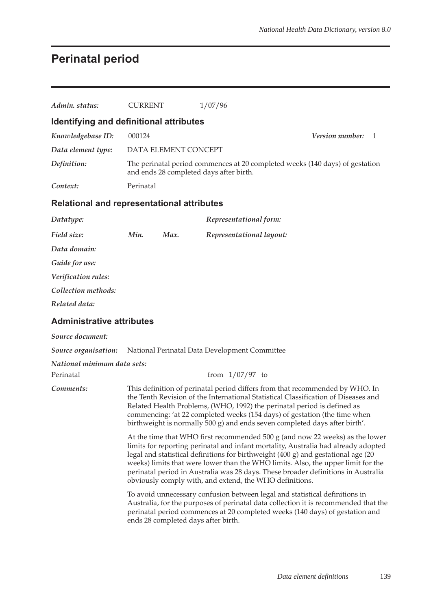# **Perinatal period**

| Admin. status:                                    | <b>CURRENT</b>                                                                                                          |                      | 1/07/96                                                                                                                                                                                                                                                                                                                                                                                                                                                                                     |                 |    |  |  |  |
|---------------------------------------------------|-------------------------------------------------------------------------------------------------------------------------|----------------------|---------------------------------------------------------------------------------------------------------------------------------------------------------------------------------------------------------------------------------------------------------------------------------------------------------------------------------------------------------------------------------------------------------------------------------------------------------------------------------------------|-----------------|----|--|--|--|
| Identifying and definitional attributes           |                                                                                                                         |                      |                                                                                                                                                                                                                                                                                                                                                                                                                                                                                             |                 |    |  |  |  |
| Knowledgebase ID:                                 | 000124                                                                                                                  |                      |                                                                                                                                                                                                                                                                                                                                                                                                                                                                                             | Version number: | -1 |  |  |  |
| Data element type:                                |                                                                                                                         | DATA ELEMENT CONCEPT |                                                                                                                                                                                                                                                                                                                                                                                                                                                                                             |                 |    |  |  |  |
| Definition:                                       | The perinatal period commences at 20 completed weeks (140 days) of gestation<br>and ends 28 completed days after birth. |                      |                                                                                                                                                                                                                                                                                                                                                                                                                                                                                             |                 |    |  |  |  |
| Context:                                          | Perinatal                                                                                                               |                      |                                                                                                                                                                                                                                                                                                                                                                                                                                                                                             |                 |    |  |  |  |
| <b>Relational and representational attributes</b> |                                                                                                                         |                      |                                                                                                                                                                                                                                                                                                                                                                                                                                                                                             |                 |    |  |  |  |
| Datatype:                                         |                                                                                                                         |                      | Representational form:                                                                                                                                                                                                                                                                                                                                                                                                                                                                      |                 |    |  |  |  |
| Field size:                                       | Min.                                                                                                                    | Max.                 | Representational layout:                                                                                                                                                                                                                                                                                                                                                                                                                                                                    |                 |    |  |  |  |
| Data domain:                                      |                                                                                                                         |                      |                                                                                                                                                                                                                                                                                                                                                                                                                                                                                             |                 |    |  |  |  |
| Guide for use:                                    |                                                                                                                         |                      |                                                                                                                                                                                                                                                                                                                                                                                                                                                                                             |                 |    |  |  |  |
| Verification rules:                               |                                                                                                                         |                      |                                                                                                                                                                                                                                                                                                                                                                                                                                                                                             |                 |    |  |  |  |
| Collection methods:                               |                                                                                                                         |                      |                                                                                                                                                                                                                                                                                                                                                                                                                                                                                             |                 |    |  |  |  |
| Related data:                                     |                                                                                                                         |                      |                                                                                                                                                                                                                                                                                                                                                                                                                                                                                             |                 |    |  |  |  |
| <b>Administrative attributes</b>                  |                                                                                                                         |                      |                                                                                                                                                                                                                                                                                                                                                                                                                                                                                             |                 |    |  |  |  |
| Source document:                                  |                                                                                                                         |                      |                                                                                                                                                                                                                                                                                                                                                                                                                                                                                             |                 |    |  |  |  |
| Source organisation:                              |                                                                                                                         |                      | National Perinatal Data Development Committee                                                                                                                                                                                                                                                                                                                                                                                                                                               |                 |    |  |  |  |
| National minimum data sets:                       |                                                                                                                         |                      |                                                                                                                                                                                                                                                                                                                                                                                                                                                                                             |                 |    |  |  |  |
| Perinatal                                         |                                                                                                                         |                      | from $1/07/97$ to                                                                                                                                                                                                                                                                                                                                                                                                                                                                           |                 |    |  |  |  |
| Comments:                                         |                                                                                                                         |                      | This definition of perinatal period differs from that recommended by WHO. In<br>the Tenth Revision of the International Statistical Classification of Diseases and<br>Related Health Problems, (WHO, 1992) the perinatal period is defined as<br>commencing: 'at 22 completed weeks (154 days) of gestation (the time when<br>birthweight is normally 500 g) and ends seven completed days after birth'.                                                                                    |                 |    |  |  |  |
|                                                   |                                                                                                                         |                      | At the time that WHO first recommended 500 g (and now 22 weeks) as the lower<br>limits for reporting perinatal and infant mortality, Australia had already adopted<br>legal and statistical definitions for birthweight (400 g) and gestational age (20<br>weeks) limits that were lower than the WHO limits. Also, the upper limit for the<br>perinatal period in Australia was 28 days. These broader definitions in Australia<br>obviously comply with, and extend, the WHO definitions. |                 |    |  |  |  |
|                                                   |                                                                                                                         |                      | To avoid unnecessary confusion between legal and statistical definitions in<br>Australia, for the purposes of perinatal data collection it is recommended that the<br>perinatal period commences at 20 completed weeks (140 days) of gestation and<br>ends 28 completed days after birth.                                                                                                                                                                                                   |                 |    |  |  |  |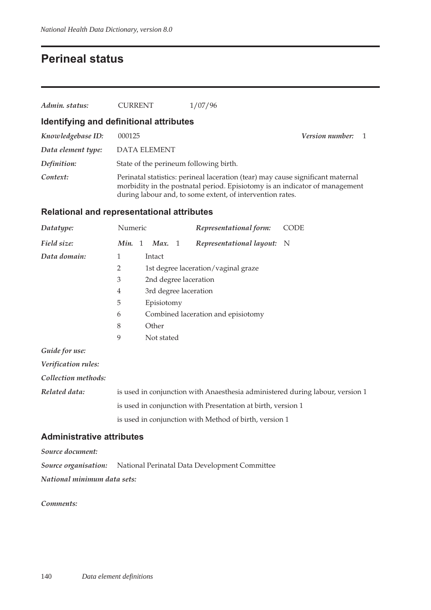### **Perineal status**

| Admin. status:                          | <b>CURRENT</b>                         | 1/07/96                                                                                                                                                                                                                     |                        |
|-----------------------------------------|----------------------------------------|-----------------------------------------------------------------------------------------------------------------------------------------------------------------------------------------------------------------------------|------------------------|
| Identifying and definitional attributes |                                        |                                                                                                                                                                                                                             |                        |
| Knowledgebase ID:                       | 000125                                 |                                                                                                                                                                                                                             | <b>Version number:</b> |
| Data element type:                      | <b>DATA ELEMENT</b>                    |                                                                                                                                                                                                                             |                        |
| Definition:                             | State of the perineum following birth. |                                                                                                                                                                                                                             |                        |
| Context:                                |                                        | Perinatal statistics: perineal laceration (tear) may cause significant maternal<br>morbidity in the postnatal period. Episiotomy is an indicator of management<br>during labour and, to some extent, of intervention rates. |                        |

#### **Relational and representational attributes**

| Datatype:           | Numeric |                                                                               |            |  | Representational form:                                       | <b>CODE</b> |  |  |  |
|---------------------|---------|-------------------------------------------------------------------------------|------------|--|--------------------------------------------------------------|-------------|--|--|--|
| Field size:         | Min. 1  |                                                                               | Max. 1     |  | Representational layout: N                                   |             |  |  |  |
| Data domain:        | 1       |                                                                               | Intact     |  |                                                              |             |  |  |  |
|                     | 2       |                                                                               |            |  | 1st degree laceration/vaginal graze                          |             |  |  |  |
|                     | 3       |                                                                               |            |  | 2nd degree laceration                                        |             |  |  |  |
|                     | 4       | 3rd degree laceration                                                         |            |  |                                                              |             |  |  |  |
|                     | 5       |                                                                               | Episiotomy |  |                                                              |             |  |  |  |
|                     | 6       |                                                                               |            |  | Combined laceration and episiotomy                           |             |  |  |  |
|                     | 8       |                                                                               | Other      |  |                                                              |             |  |  |  |
|                     | 9       |                                                                               | Not stated |  |                                                              |             |  |  |  |
| Guide for use:      |         |                                                                               |            |  |                                                              |             |  |  |  |
| Verification rules: |         |                                                                               |            |  |                                                              |             |  |  |  |
| Collection methods: |         |                                                                               |            |  |                                                              |             |  |  |  |
| Related data:       |         | is used in conjunction with Anaesthesia administered during labour, version 1 |            |  |                                                              |             |  |  |  |
|                     |         |                                                                               |            |  | is used in conjunction with Presentation at birth, version 1 |             |  |  |  |

is used in conjunction with Method of birth, version 1

**Administrative attributes**

*Source document:*

*Source organisation:* National Perinatal Data Development Committee *National minimum data sets:*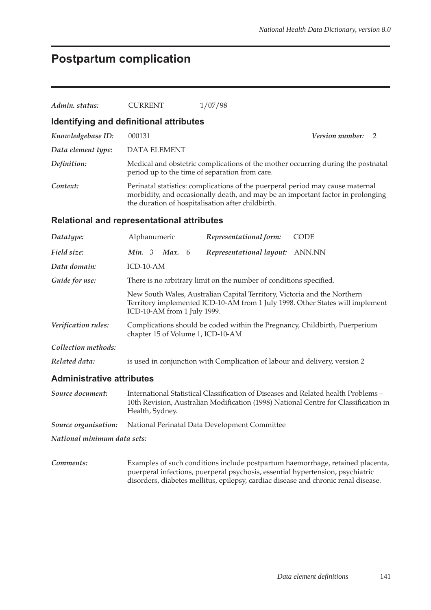## **Postpartum complication**

| Admin. status:                   | <b>CURRENT</b>                                                                                                                                                                           | 1/07/98                                                                                                                                                                                                                |                                                                                                                                                                           |  |  |  |  |  |
|----------------------------------|------------------------------------------------------------------------------------------------------------------------------------------------------------------------------------------|------------------------------------------------------------------------------------------------------------------------------------------------------------------------------------------------------------------------|---------------------------------------------------------------------------------------------------------------------------------------------------------------------------|--|--|--|--|--|
|                                  | Identifying and definitional attributes                                                                                                                                                  |                                                                                                                                                                                                                        |                                                                                                                                                                           |  |  |  |  |  |
| Knowledgebase ID:                | 000131                                                                                                                                                                                   |                                                                                                                                                                                                                        | Version number:<br>2                                                                                                                                                      |  |  |  |  |  |
| Data element type:               | <b>DATA ELEMENT</b>                                                                                                                                                                      |                                                                                                                                                                                                                        |                                                                                                                                                                           |  |  |  |  |  |
| Definition:                      |                                                                                                                                                                                          | period up to the time of separation from care.                                                                                                                                                                         | Medical and obstetric complications of the mother occurring during the postnatal                                                                                          |  |  |  |  |  |
| Context:                         |                                                                                                                                                                                          | Perinatal statistics: complications of the puerperal period may cause maternal<br>morbidity, and occasionally death, and may be an important factor in prolonging<br>the duration of hospitalisation after childbirth. |                                                                                                                                                                           |  |  |  |  |  |
|                                  | <b>Relational and representational attributes</b>                                                                                                                                        |                                                                                                                                                                                                                        |                                                                                                                                                                           |  |  |  |  |  |
| Datatype:                        | Alphanumeric                                                                                                                                                                             | Representational form:                                                                                                                                                                                                 | <b>CODE</b>                                                                                                                                                               |  |  |  |  |  |
| Field size:                      | Min. 3<br><b>Max.</b> 6                                                                                                                                                                  | Representational layout: ANN.NN                                                                                                                                                                                        |                                                                                                                                                                           |  |  |  |  |  |
| Data domain:                     | ICD-10-AM                                                                                                                                                                                |                                                                                                                                                                                                                        |                                                                                                                                                                           |  |  |  |  |  |
| Guide for use:                   |                                                                                                                                                                                          | There is no arbitrary limit on the number of conditions specified.                                                                                                                                                     |                                                                                                                                                                           |  |  |  |  |  |
|                                  | New South Wales, Australian Capital Territory, Victoria and the Northern<br>Territory implemented ICD-10-AM from 1 July 1998. Other States will implement<br>ICD-10-AM from 1 July 1999. |                                                                                                                                                                                                                        |                                                                                                                                                                           |  |  |  |  |  |
| Verification rules:              | Complications should be coded within the Pregnancy, Childbirth, Puerperium<br>chapter 15 of Volume 1, ICD-10-AM                                                                          |                                                                                                                                                                                                                        |                                                                                                                                                                           |  |  |  |  |  |
| Collection methods:              |                                                                                                                                                                                          |                                                                                                                                                                                                                        |                                                                                                                                                                           |  |  |  |  |  |
| Related data:                    |                                                                                                                                                                                          | is used in conjunction with Complication of labour and delivery, version 2                                                                                                                                             |                                                                                                                                                                           |  |  |  |  |  |
| <b>Administrative attributes</b> |                                                                                                                                                                                          |                                                                                                                                                                                                                        |                                                                                                                                                                           |  |  |  |  |  |
| Source document:                 | Health, Sydney.                                                                                                                                                                          |                                                                                                                                                                                                                        | International Statistical Classification of Diseases and Related health Problems -<br>10th Revision, Australian Modification (1998) National Centre for Classification in |  |  |  |  |  |

*Source organisation:* National Perinatal Data Development Committee

*National minimum data sets:*

*Comments:* Examples of such conditions include postpartum haemorrhage, retained placenta, puerperal infections, puerperal psychosis, essential hypertension, psychiatric disorders, diabetes mellitus, epilepsy, cardiac disease and chronic renal disease.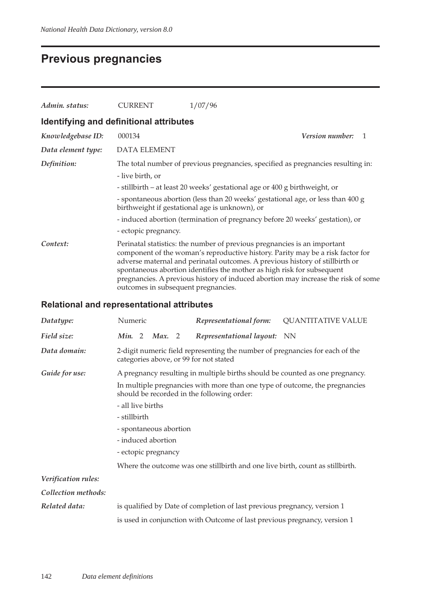## **Previous pregnancies**

| Admin. status:                          | <b>CURRENT</b>                                                                                                                    | 1/07/96                                                                                                                                                                                                                                                                                                                                                                                                   |  |  |  |  |  |  |  |
|-----------------------------------------|-----------------------------------------------------------------------------------------------------------------------------------|-----------------------------------------------------------------------------------------------------------------------------------------------------------------------------------------------------------------------------------------------------------------------------------------------------------------------------------------------------------------------------------------------------------|--|--|--|--|--|--|--|
| Identifying and definitional attributes |                                                                                                                                   |                                                                                                                                                                                                                                                                                                                                                                                                           |  |  |  |  |  |  |  |
| Knowledgebase ID:                       | 000134                                                                                                                            | <b>Version number:</b><br>$\mathbf{1}$                                                                                                                                                                                                                                                                                                                                                                    |  |  |  |  |  |  |  |
| Data element type:                      | <b>DATA ELEMENT</b>                                                                                                               |                                                                                                                                                                                                                                                                                                                                                                                                           |  |  |  |  |  |  |  |
| Definition:                             |                                                                                                                                   | The total number of previous pregnancies, specified as pregnancies resulting in:                                                                                                                                                                                                                                                                                                                          |  |  |  |  |  |  |  |
|                                         | - live birth, or                                                                                                                  |                                                                                                                                                                                                                                                                                                                                                                                                           |  |  |  |  |  |  |  |
|                                         | - stillbirth – at least 20 weeks' gestational age or 400 g birthweight, or                                                        |                                                                                                                                                                                                                                                                                                                                                                                                           |  |  |  |  |  |  |  |
|                                         | - spontaneous abortion (less than 20 weeks' gestational age, or less than 400 g<br>birthweight if gestational age is unknown), or |                                                                                                                                                                                                                                                                                                                                                                                                           |  |  |  |  |  |  |  |
|                                         |                                                                                                                                   | - induced abortion (termination of pregnancy before 20 weeks' gestation), or                                                                                                                                                                                                                                                                                                                              |  |  |  |  |  |  |  |
|                                         | - ectopic pregnancy.                                                                                                              |                                                                                                                                                                                                                                                                                                                                                                                                           |  |  |  |  |  |  |  |
| Context:                                | outcomes in subsequent pregnancies.                                                                                               | Perinatal statistics: the number of previous pregnancies is an important<br>component of the woman's reproductive history. Parity may be a risk factor for<br>adverse maternal and perinatal outcomes. A previous history of stillbirth or<br>spontaneous abortion identifies the mother as high risk for subsequent<br>pregnancies. A previous history of induced abortion may increase the risk of some |  |  |  |  |  |  |  |

### **Relational and representational attributes**

| Datatype:           | Numeric           |                        | Representational form:                                                                                                    | <b>QUANTITATIVE VALUE</b> |
|---------------------|-------------------|------------------------|---------------------------------------------------------------------------------------------------------------------------|---------------------------|
| Field size:         |                   | Min. 2 Max. 2          | Representational layout: NN                                                                                               |                           |
| Data domain:        |                   |                        | 2-digit numeric field representing the number of pregnancies for each of the<br>categories above, or 99 for not stated    |                           |
| Guide for use:      |                   |                        | A pregnancy resulting in multiple births should be counted as one pregnancy.                                              |                           |
|                     |                   |                        | In multiple pregnancies with more than one type of outcome, the pregnancies<br>should be recorded in the following order: |                           |
|                     | - all live births |                        |                                                                                                                           |                           |
|                     | - stillbirth      |                        |                                                                                                                           |                           |
|                     |                   | - spontaneous abortion |                                                                                                                           |                           |
|                     |                   | - induced abortion     |                                                                                                                           |                           |
|                     |                   | - ectopic pregnancy    |                                                                                                                           |                           |
|                     |                   |                        | Where the outcome was one stillbirth and one live birth, count as stillbirth.                                             |                           |
| Verification rules: |                   |                        |                                                                                                                           |                           |
| Collection methods: |                   |                        |                                                                                                                           |                           |
| Related data:       |                   |                        | is qualified by Date of completion of last previous pregnancy, version 1                                                  |                           |
|                     |                   |                        | is used in conjunction with Outcome of last previous pregnancy, version 1                                                 |                           |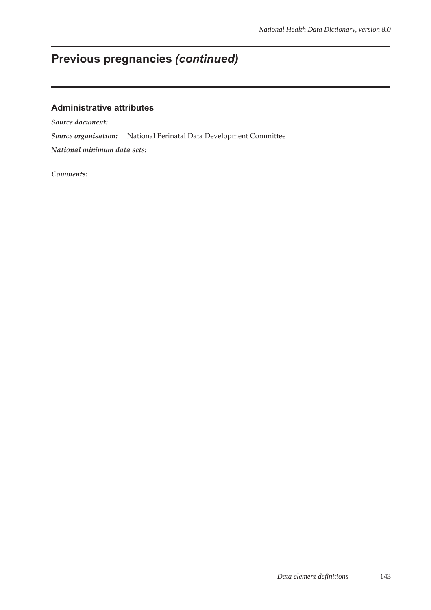# **Previous pregnancies** *(continued)*

### **Administrative attributes**

*Source document:*

*Source organisation:* National Perinatal Data Development Committee

*National minimum data sets:*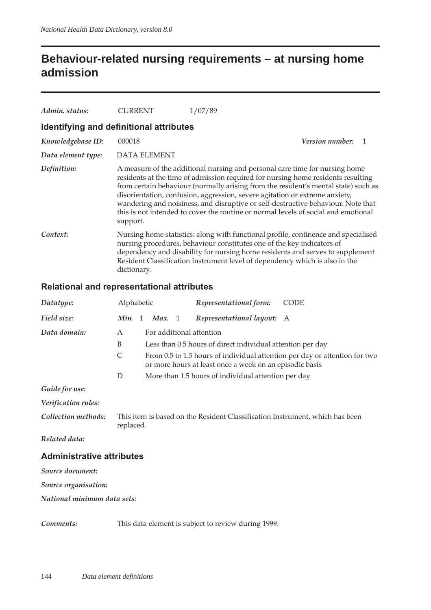## **Behaviour-related nursing requirements – at nursing home admission**

| Admin. status:                          | CURRENT      | 1/07/89                                                                                                                                                                                                                                                                                                                                                                                                                                                                                                        |
|-----------------------------------------|--------------|----------------------------------------------------------------------------------------------------------------------------------------------------------------------------------------------------------------------------------------------------------------------------------------------------------------------------------------------------------------------------------------------------------------------------------------------------------------------------------------------------------------|
| Identifying and definitional attributes |              |                                                                                                                                                                                                                                                                                                                                                                                                                                                                                                                |
| Knowledgebase ID:                       | 000018       | <i>Version number:</i>                                                                                                                                                                                                                                                                                                                                                                                                                                                                                         |
| Data element type:                      | DATA ELEMENT |                                                                                                                                                                                                                                                                                                                                                                                                                                                                                                                |
| Definition:                             | support.     | A measure of the additional nursing and personal care time for nursing home<br>residents at the time of admission required for nursing home residents resulting<br>from certain behaviour (normally arising from the resident's mental state) such as<br>disorientation, confusion, aggression, severe agitation or extreme anxiety,<br>wandering and noisiness, and disruptive or self-destructive behaviour. Note that<br>this is not intended to cover the routine or normal levels of social and emotional |
| Context:                                | dictionary.  | Nursing home statistics: along with functional profile, continence and specialised<br>nursing procedures, behaviour constitutes one of the key indicators of<br>dependency and disability for nursing home residents and serves to supplement<br>Resident Classification Instrument level of dependency which is also in the                                                                                                                                                                                   |

### **Relational and representational attributes**

| Datatype:                        | Alphabetic |        | Representational form:                                                       | <b>CODE</b>                                                                |
|----------------------------------|------------|--------|------------------------------------------------------------------------------|----------------------------------------------------------------------------|
| Field size:                      | Min. 1     | Max. 1 | Representational layout: A                                                   |                                                                            |
| Data domain:                     | A          |        | For additional attention                                                     |                                                                            |
|                                  | B          |        | Less than 0.5 hours of direct individual attention per day                   |                                                                            |
|                                  | C          |        | or more hours at least once a week on an episodic basis                      | From 0.5 to 1.5 hours of individual attention per day or attention for two |
|                                  | D          |        | More than 1.5 hours of individual attention per day                          |                                                                            |
| Guide for use:                   |            |        |                                                                              |                                                                            |
| Verification rules:              |            |        |                                                                              |                                                                            |
| Collection methods:              | replaced.  |        | This item is based on the Resident Classification Instrument, which has been |                                                                            |
| Related data:                    |            |        |                                                                              |                                                                            |
| <b>Administrative attributes</b> |            |        |                                                                              |                                                                            |
| Source document:                 |            |        |                                                                              |                                                                            |
| Source organisation:             |            |        |                                                                              |                                                                            |
| National minimum data sets:      |            |        |                                                                              |                                                                            |
| Comments:                        |            |        | This data element is subject to review during 1999.                          |                                                                            |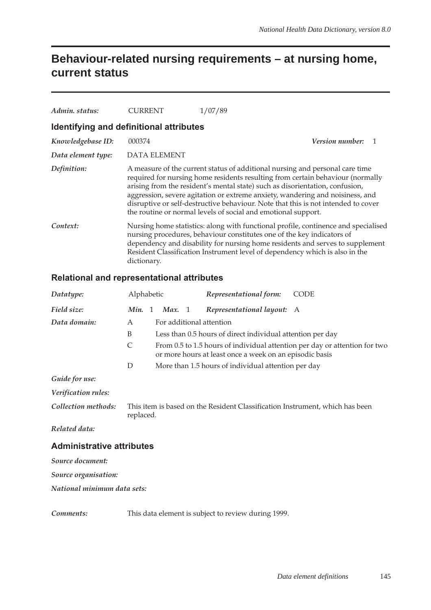## **Behaviour-related nursing requirements – at nursing home, current status**

| Admin. status:                          | CURRENT             | 1/07/89                                                                                                                                                                                                                                                                                                                                                                                                                                                                               |
|-----------------------------------------|---------------------|---------------------------------------------------------------------------------------------------------------------------------------------------------------------------------------------------------------------------------------------------------------------------------------------------------------------------------------------------------------------------------------------------------------------------------------------------------------------------------------|
| Identifying and definitional attributes |                     |                                                                                                                                                                                                                                                                                                                                                                                                                                                                                       |
| Knowledgebase ID:                       | 000374              | <b>Version number:</b>                                                                                                                                                                                                                                                                                                                                                                                                                                                                |
| Data element type:                      | <b>DATA ELEMENT</b> |                                                                                                                                                                                                                                                                                                                                                                                                                                                                                       |
| Definition:                             |                     | A measure of the current status of additional nursing and personal care time<br>required for nursing home residents resulting from certain behaviour (normally<br>arising from the resident's mental state) such as disorientation, confusion,<br>aggression, severe agitation or extreme anxiety, wandering and noisiness, and<br>disruptive or self-destructive behaviour. Note that this is not intended to cover<br>the routine or normal levels of social and emotional support. |
| Context:                                | dictionary.         | Nursing home statistics: along with functional profile, continence and specialised<br>nursing procedures, behaviour constitutes one of the key indicators of<br>dependency and disability for nursing home residents and serves to supplement<br>Resident Classification Instrument level of dependency which is also in the                                                                                                                                                          |

### **Relational and representational attributes**

| Datatype:                        | Alphabetic                                                                                |              |        |  | Representational form:                                     | <b>CODE</b>                                                                |
|----------------------------------|-------------------------------------------------------------------------------------------|--------------|--------|--|------------------------------------------------------------|----------------------------------------------------------------------------|
| Field size:                      | Min.                                                                                      | $\mathbf{1}$ | Max. 1 |  | Representational layout:                                   | A                                                                          |
| Data domain:                     | A                                                                                         |              |        |  | For additional attention                                   |                                                                            |
|                                  | B                                                                                         |              |        |  | Less than 0.5 hours of direct individual attention per day |                                                                            |
|                                  | $\mathsf{C}$                                                                              |              |        |  | or more hours at least once a week on an episodic basis    | From 0.5 to 1.5 hours of individual attention per day or attention for two |
|                                  | D                                                                                         |              |        |  | More than 1.5 hours of individual attention per day        |                                                                            |
| Guide for use:                   |                                                                                           |              |        |  |                                                            |                                                                            |
| Verification rules:              |                                                                                           |              |        |  |                                                            |                                                                            |
| Collection methods:              | This item is based on the Resident Classification Instrument, which has been<br>replaced. |              |        |  |                                                            |                                                                            |
| Related data:                    |                                                                                           |              |        |  |                                                            |                                                                            |
| <b>Administrative attributes</b> |                                                                                           |              |        |  |                                                            |                                                                            |
| Source document:                 |                                                                                           |              |        |  |                                                            |                                                                            |
| Source organisation:             |                                                                                           |              |        |  |                                                            |                                                                            |
| National minimum data sets:      |                                                                                           |              |        |  |                                                            |                                                                            |
| Comments:                        |                                                                                           |              |        |  | This data element is subject to review during 1999.        |                                                                            |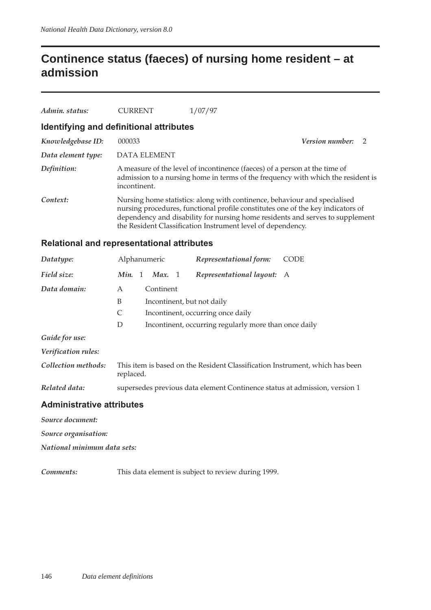## **Continence status (faeces) of nursing home resident – at admission**

| Admin. status:                          | <b>CURRENT</b>      | 1/07/97                                                                                                                                                                                                                                                                                                      |                          |  |
|-----------------------------------------|---------------------|--------------------------------------------------------------------------------------------------------------------------------------------------------------------------------------------------------------------------------------------------------------------------------------------------------------|--------------------------|--|
| Identifying and definitional attributes |                     |                                                                                                                                                                                                                                                                                                              |                          |  |
| Knowledgebase ID:                       | 000033              |                                                                                                                                                                                                                                                                                                              | <b>Version number:</b> 2 |  |
| Data element type:                      | <b>DATA ELEMENT</b> |                                                                                                                                                                                                                                                                                                              |                          |  |
| Definition:                             | incontinent.        | A measure of the level of incontinence (faeces) of a person at the time of<br>admission to a nursing home in terms of the frequency with which the resident is                                                                                                                                               |                          |  |
| Context:                                |                     | Nursing home statistics: along with continence, behaviour and specialised<br>nursing procedures, functional profile constitutes one of the key indicators of<br>dependency and disability for nursing home residents and serves to supplement<br>the Resident Classification Instrument level of dependency. |                          |  |
|                                         |                     |                                                                                                                                                                                                                                                                                                              |                          |  |

#### **Relational and representational attributes**

| Datatype:                        | Alphanumeric                                                                              |                             |  | Representational form:                                                     | <b>CODE</b> |
|----------------------------------|-------------------------------------------------------------------------------------------|-----------------------------|--|----------------------------------------------------------------------------|-------------|
| Field size:                      |                                                                                           | <i>Min.</i> 1 <i>Max.</i> 1 |  | Representational layout: A                                                 |             |
| Data domain:                     | A                                                                                         | Continent                   |  |                                                                            |             |
|                                  | B                                                                                         |                             |  | Incontinent, but not daily                                                 |             |
|                                  | C                                                                                         |                             |  | Incontinent, occurring once daily                                          |             |
|                                  | D                                                                                         |                             |  | Incontinent, occurring regularly more than once daily                      |             |
| Guide for use:                   |                                                                                           |                             |  |                                                                            |             |
| Verification rules:              |                                                                                           |                             |  |                                                                            |             |
| Collection methods:              | This item is based on the Resident Classification Instrument, which has been<br>replaced. |                             |  |                                                                            |             |
| Related data:                    |                                                                                           |                             |  | supersedes previous data element Continence status at admission, version 1 |             |
| <b>Administrative attributes</b> |                                                                                           |                             |  |                                                                            |             |

*Source document:*

*Source organisation:*

*National minimum data sets:*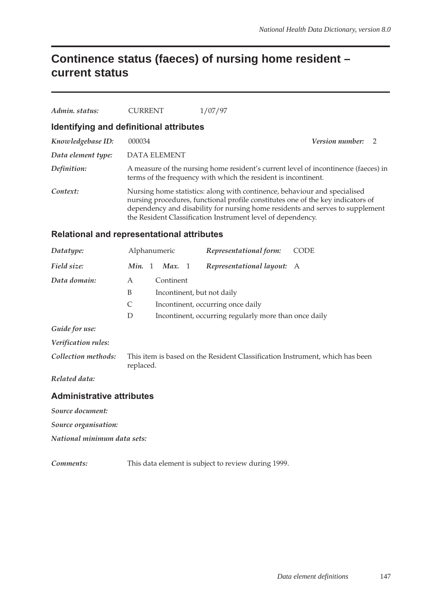## **Continence status (faeces) of nursing home resident – current status**

| Admin. status:                          | <b>CURRENT</b>      | 1/07/97                                                                                                                                                                                                                                                                                                      |                          |  |  |  |  |
|-----------------------------------------|---------------------|--------------------------------------------------------------------------------------------------------------------------------------------------------------------------------------------------------------------------------------------------------------------------------------------------------------|--------------------------|--|--|--|--|
| Identifying and definitional attributes |                     |                                                                                                                                                                                                                                                                                                              |                          |  |  |  |  |
| Knowledgebase ID:                       | 000034              |                                                                                                                                                                                                                                                                                                              | <b>Version number:</b> 2 |  |  |  |  |
| Data element type:                      | <b>DATA ELEMENT</b> |                                                                                                                                                                                                                                                                                                              |                          |  |  |  |  |
| Definition:                             |                     | A measure of the nursing home resident's current level of incontinence (faeces) in<br>terms of the frequency with which the resident is incontinent.                                                                                                                                                         |                          |  |  |  |  |
| Context:                                |                     | Nursing home statistics: along with continence, behaviour and specialised<br>nursing procedures, functional profile constitutes one of the key indicators of<br>dependency and disability for nursing home residents and serves to supplement<br>the Resident Classification Instrument level of dependency. |                          |  |  |  |  |

#### **Relational and representational attributes**

| Datatype:                        | Alphanumeric           |                                   |  | Representational form:                                                       | <b>CODE</b> |  |
|----------------------------------|------------------------|-----------------------------------|--|------------------------------------------------------------------------------|-------------|--|
| Field size:                      | Min.<br>$\overline{1}$ | Max. $1$                          |  | Representational layout: A                                                   |             |  |
| Data domain:                     | A                      | Continent                         |  |                                                                              |             |  |
|                                  | B                      |                                   |  | Incontinent, but not daily                                                   |             |  |
|                                  | C                      | Incontinent, occurring once daily |  |                                                                              |             |  |
|                                  | D                      |                                   |  | Incontinent, occurring regularly more than once daily                        |             |  |
| Guide for use:                   |                        |                                   |  |                                                                              |             |  |
| Verification rules:              |                        |                                   |  |                                                                              |             |  |
| Collection methods:              | replaced.              |                                   |  | This item is based on the Resident Classification Instrument, which has been |             |  |
| Related data:                    |                        |                                   |  |                                                                              |             |  |
| <b>Administrative attributes</b> |                        |                                   |  |                                                                              |             |  |

*Source document:*

*Source organisation:*

*National minimum data sets:*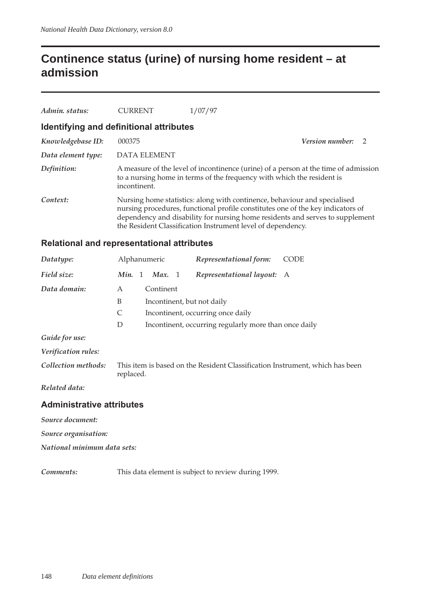## **Continence status (urine) of nursing home resident – at admission**

| Admin. status:                          | <b>CURRENT</b>                                                                                                                                                                                                                                                                                               | 1/07/97 |                   |  |  |  |  |
|-----------------------------------------|--------------------------------------------------------------------------------------------------------------------------------------------------------------------------------------------------------------------------------------------------------------------------------------------------------------|---------|-------------------|--|--|--|--|
| Identifying and definitional attributes |                                                                                                                                                                                                                                                                                                              |         |                   |  |  |  |  |
| Knowledgebase ID:                       | 000375                                                                                                                                                                                                                                                                                                       |         | Version number: 2 |  |  |  |  |
| Data element type:                      | <b>DATA ELEMENT</b>                                                                                                                                                                                                                                                                                          |         |                   |  |  |  |  |
| Definition:                             | A measure of the level of incontinence (urine) of a person at the time of admission<br>to a nursing home in terms of the frequency with which the resident is<br>incontinent.                                                                                                                                |         |                   |  |  |  |  |
| Context:                                | Nursing home statistics: along with continence, behaviour and specialised<br>nursing procedures, functional profile constitutes one of the key indicators of<br>dependency and disability for nursing home residents and serves to supplement<br>the Resident Classification Instrument level of dependency. |         |                   |  |  |  |  |
|                                         | Relational and representational attributes                                                                                                                                                                                                                                                                   |         |                   |  |  |  |  |

| Datatype:           |                                                            | Alphanumeric               |  | Representational form:                                                       | <b>CODE</b> |  |  |  |
|---------------------|------------------------------------------------------------|----------------------------|--|------------------------------------------------------------------------------|-------------|--|--|--|
| Field size:         | Min.<br>-1                                                 | Max. 1                     |  | Representational layout: A                                                   |             |  |  |  |
| Data domain:        | A                                                          | Continent                  |  |                                                                              |             |  |  |  |
|                     | B                                                          | Incontinent, but not daily |  |                                                                              |             |  |  |  |
|                     | C<br>Incontinent, occurring once daily                     |                            |  |                                                                              |             |  |  |  |
|                     | Incontinent, occurring regularly more than once daily<br>D |                            |  |                                                                              |             |  |  |  |
| Guide for use:      |                                                            |                            |  |                                                                              |             |  |  |  |
| Verification rules: |                                                            |                            |  |                                                                              |             |  |  |  |
| Collection methods: | replaced.                                                  |                            |  | This item is based on the Resident Classification Instrument, which has been |             |  |  |  |
| Related data:       |                                                            |                            |  |                                                                              |             |  |  |  |

*Related data:*

#### **Administrative attributes**

*Source document:*

*Source organisation:*

*National minimum data sets:*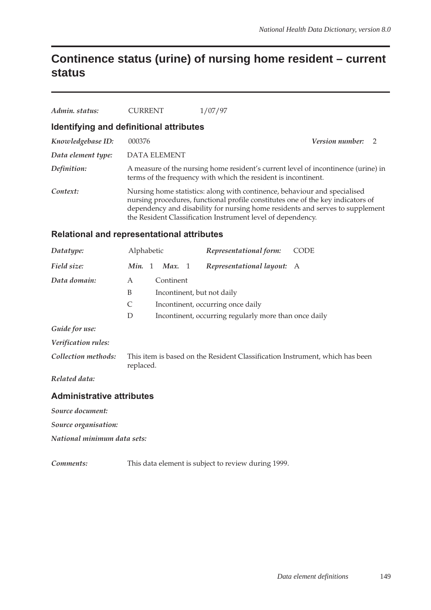## **Continence status (urine) of nursing home resident – current status**

| Admin. status:                          | <b>CURRENT</b>      | 1/07/97                                                                                                                                             |                                                                                                                                                                                                                                               |  |  |  |
|-----------------------------------------|---------------------|-----------------------------------------------------------------------------------------------------------------------------------------------------|-----------------------------------------------------------------------------------------------------------------------------------------------------------------------------------------------------------------------------------------------|--|--|--|
| Identifying and definitional attributes |                     |                                                                                                                                                     |                                                                                                                                                                                                                                               |  |  |  |
| Knowledgebase ID:                       | 000376              |                                                                                                                                                     | <b>Version number:</b><br>- 2                                                                                                                                                                                                                 |  |  |  |
| Data element type:                      | <b>DATA ELEMENT</b> |                                                                                                                                                     |                                                                                                                                                                                                                                               |  |  |  |
| Definition:                             |                     | A measure of the nursing home resident's current level of incontinence (urine) in<br>terms of the frequency with which the resident is incontinent. |                                                                                                                                                                                                                                               |  |  |  |
| Context:                                |                     | the Resident Classification Instrument level of dependency.                                                                                         | Nursing home statistics: along with continence, behaviour and specialised<br>nursing procedures, functional profile constitutes one of the key indicators of<br>dependency and disability for nursing home residents and serves to supplement |  |  |  |

#### **Relational and representational attributes**

| Datatype:                        | Alphabetic |           |  | Representational form:                                                       | CODE |
|----------------------------------|------------|-----------|--|------------------------------------------------------------------------------|------|
| Field size:                      | Min. 1     | Max. $1$  |  | Representational layout: A                                                   |      |
| Data domain:                     | A          | Continent |  |                                                                              |      |
|                                  | B          |           |  | Incontinent, but not daily                                                   |      |
|                                  | C          |           |  | Incontinent, occurring once daily                                            |      |
|                                  | D          |           |  | Incontinent, occurring regularly more than once daily                        |      |
| Guide for use:                   |            |           |  |                                                                              |      |
| Verification rules:              |            |           |  |                                                                              |      |
| Collection methods:              | replaced.  |           |  | This item is based on the Resident Classification Instrument, which has been |      |
| Related data:                    |            |           |  |                                                                              |      |
| <b>Administrative attributes</b> |            |           |  |                                                                              |      |

*Source document:*

*Source organisation:*

*National minimum data sets:*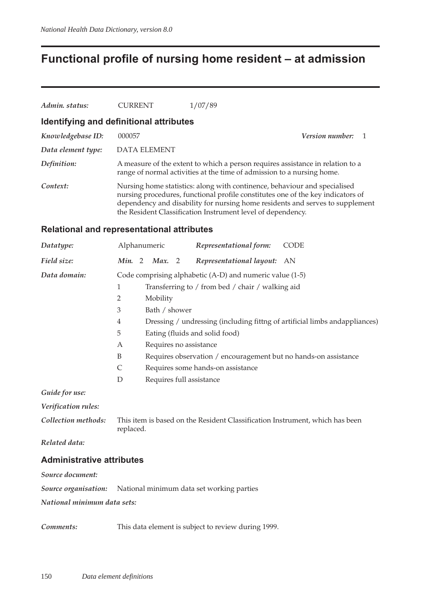## **Functional profile of nursing home resident – at admission**

| Admin. status:                          | <b>CURRENT</b>      | 1/07/89                                                                                                                                                  |                                                                                                                                                                                                                                               |  |  |  |
|-----------------------------------------|---------------------|----------------------------------------------------------------------------------------------------------------------------------------------------------|-----------------------------------------------------------------------------------------------------------------------------------------------------------------------------------------------------------------------------------------------|--|--|--|
| Identifying and definitional attributes |                     |                                                                                                                                                          |                                                                                                                                                                                                                                               |  |  |  |
| Knowledgebase ID:                       | 000057              |                                                                                                                                                          | <b>Version number:</b> 1                                                                                                                                                                                                                      |  |  |  |
| Data element type:                      | <b>DATA ELEMENT</b> |                                                                                                                                                          |                                                                                                                                                                                                                                               |  |  |  |
| Definition:                             |                     | A measure of the extent to which a person requires assistance in relation to a<br>range of normal activities at the time of admission to a nursing home. |                                                                                                                                                                                                                                               |  |  |  |
| Context:                                |                     | the Resident Classification Instrument level of dependency.                                                                                              | Nursing home statistics: along with continence, behaviour and specialised<br>nursing procedures, functional profile constitutes one of the key indicators of<br>dependency and disability for nursing home residents and serves to supplement |  |  |  |

#### **Relational and representational attributes**

| Datatype:           | Alphanumeric   |                                                                             |                             |  | Representational form:                                          | <b>CODE</b> |  |  |
|---------------------|----------------|-----------------------------------------------------------------------------|-----------------------------|--|-----------------------------------------------------------------|-------------|--|--|
| Field size:         |                |                                                                             | <i>Min.</i> 2 <i>Max.</i> 2 |  | Representational layout: AN                                     |             |  |  |
| Data domain:        |                |                                                                             |                             |  | Code comprising alphabetic (A-D) and numeric value (1-5)        |             |  |  |
|                     | 1              |                                                                             |                             |  | Transferring to / from bed / chair / walking aid                |             |  |  |
|                     | 2              |                                                                             | Mobility                    |  |                                                                 |             |  |  |
|                     | 3              | Bath / shower                                                               |                             |  |                                                                 |             |  |  |
|                     | $\overline{4}$ | Dressing / undressing (including fittng of artificial limbs and appliances) |                             |  |                                                                 |             |  |  |
|                     | 5              |                                                                             |                             |  | Eating (fluids and solid food)                                  |             |  |  |
|                     | Α              |                                                                             |                             |  | Requires no assistance                                          |             |  |  |
|                     | B              |                                                                             |                             |  | Requires observation / encouragement but no hands-on assistance |             |  |  |
|                     | $\mathsf{C}$   |                                                                             |                             |  | Requires some hands-on assistance                               |             |  |  |
|                     | D              |                                                                             | Requires full assistance    |  |                                                                 |             |  |  |
| Guide for use:      |                |                                                                             |                             |  |                                                                 |             |  |  |
| Verification rules: |                |                                                                             |                             |  |                                                                 |             |  |  |

*Collection methods:* This item is based on the Resident Classification Instrument, which has been replaced.

*Related data:*

#### **Administrative attributes**

*Source document:*

*Source organisation:* National minimum data set working parties

*National minimum data sets:*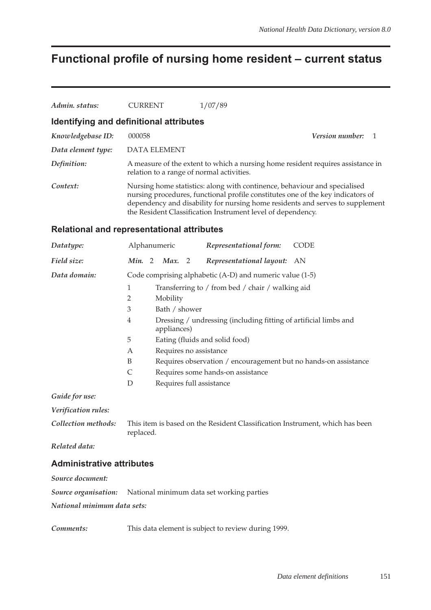# **Functional profile of nursing home resident – current status**

| Admin. status:                                      | <b>CURRENT</b>                                                                                                | 1/07/89                                                                                                                                                                                                                                                                                                      |                                                                                 |  |  |  |  |
|-----------------------------------------------------|---------------------------------------------------------------------------------------------------------------|--------------------------------------------------------------------------------------------------------------------------------------------------------------------------------------------------------------------------------------------------------------------------------------------------------------|---------------------------------------------------------------------------------|--|--|--|--|
|                                                     | Identifying and definitional attributes                                                                       |                                                                                                                                                                                                                                                                                                              |                                                                                 |  |  |  |  |
| Knowledgebase ID:                                   | 000058                                                                                                        |                                                                                                                                                                                                                                                                                                              | Version number:<br>$\overline{1}$                                               |  |  |  |  |
| Data element type:                                  | <b>DATA ELEMENT</b>                                                                                           |                                                                                                                                                                                                                                                                                                              |                                                                                 |  |  |  |  |
| Definition:                                         | relation to a range of normal activities.                                                                     |                                                                                                                                                                                                                                                                                                              | A measure of the extent to which a nursing home resident requires assistance in |  |  |  |  |
| Context:                                            |                                                                                                               | Nursing home statistics: along with continence, behaviour and specialised<br>nursing procedures, functional profile constitutes one of the key indicators of<br>dependency and disability for nursing home residents and serves to supplement<br>the Resident Classification Instrument level of dependency. |                                                                                 |  |  |  |  |
|                                                     | <b>Relational and representational attributes</b>                                                             |                                                                                                                                                                                                                                                                                                              |                                                                                 |  |  |  |  |
| Datatype:                                           | Alphanumeric                                                                                                  | Representational form:                                                                                                                                                                                                                                                                                       | <b>CODE</b>                                                                     |  |  |  |  |
| Field size:                                         | Min. 2<br>Max. 2                                                                                              | Representational layout:                                                                                                                                                                                                                                                                                     | AN                                                                              |  |  |  |  |
| Data domain:                                        | 1<br>2<br>Mobility<br>3<br>Bath / shower<br>$\overline{4}$<br>appliances)<br>5<br>Requires no assistance<br>Α | Code comprising alphabetic (A-D) and numeric value (1-5)<br>Transferring to / from bed / chair / walking aid<br>Dressing / undressing (including fitting of artificial limbs and<br>Eating (fluids and solid food)                                                                                           |                                                                                 |  |  |  |  |
|                                                     | B<br>$\mathsf{C}$<br>D<br>Requires full assistance                                                            | Requires observation / encouragement but no hands-on assistance<br>Requires some hands-on assistance                                                                                                                                                                                                         |                                                                                 |  |  |  |  |
| Guide for use:                                      |                                                                                                               |                                                                                                                                                                                                                                                                                                              |                                                                                 |  |  |  |  |
| Verification rules:                                 |                                                                                                               |                                                                                                                                                                                                                                                                                                              |                                                                                 |  |  |  |  |
| Collection methods:                                 | replaced.                                                                                                     | This item is based on the Resident Classification Instrument, which has been                                                                                                                                                                                                                                 |                                                                                 |  |  |  |  |
| Related data:                                       |                                                                                                               |                                                                                                                                                                                                                                                                                                              |                                                                                 |  |  |  |  |
| <b>Administrative attributes</b>                    |                                                                                                               |                                                                                                                                                                                                                                                                                                              |                                                                                 |  |  |  |  |
| Source document:                                    |                                                                                                               |                                                                                                                                                                                                                                                                                                              |                                                                                 |  |  |  |  |
| Source organisation:<br>National minimum data sets: |                                                                                                               | National minimum data set working parties                                                                                                                                                                                                                                                                    |                                                                                 |  |  |  |  |
|                                                     |                                                                                                               |                                                                                                                                                                                                                                                                                                              |                                                                                 |  |  |  |  |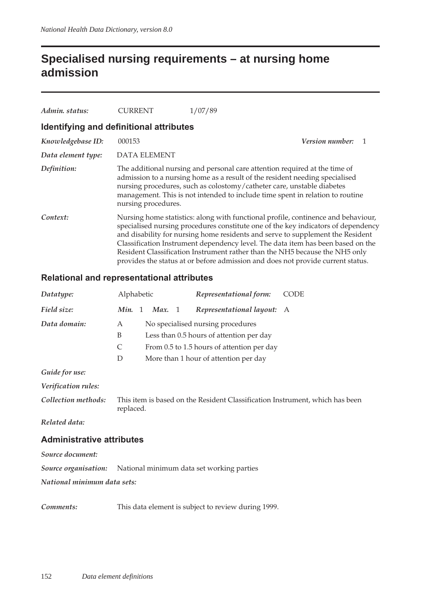## **Specialised nursing requirements – at nursing home admission**

| Admin. status:     | CURRENT                                 | 1/07/89                                                                                                                                                                                                                                                                                                                                                                                                                                                                                                       |  |  |  |  |  |  |
|--------------------|-----------------------------------------|---------------------------------------------------------------------------------------------------------------------------------------------------------------------------------------------------------------------------------------------------------------------------------------------------------------------------------------------------------------------------------------------------------------------------------------------------------------------------------------------------------------|--|--|--|--|--|--|
|                    | Identifying and definitional attributes |                                                                                                                                                                                                                                                                                                                                                                                                                                                                                                               |  |  |  |  |  |  |
| Knowledgebase ID:  | 000153                                  | <b>Version number:</b>                                                                                                                                                                                                                                                                                                                                                                                                                                                                                        |  |  |  |  |  |  |
| Data element type: | DATA ELEMENT                            |                                                                                                                                                                                                                                                                                                                                                                                                                                                                                                               |  |  |  |  |  |  |
| Definition:        | nursing procedures.                     | The additional nursing and personal care attention required at the time of<br>admission to a nursing home as a result of the resident needing specialised<br>nursing procedures, such as colostomy/catheter care, unstable diabetes<br>management. This is not intended to include time spent in relation to routine                                                                                                                                                                                          |  |  |  |  |  |  |
| Context:           |                                         | Nursing home statistics: along with functional profile, continence and behaviour,<br>specialised nursing procedures constitute one of the key indicators of dependency<br>and disability for nursing home residents and serve to supplement the Resident<br>Classification Instrument dependency level. The data item has been based on the<br>Resident Classification Instrument rather than the NH5 because the NH5 only<br>provides the status at or before admission and does not provide current status. |  |  |  |  |  |  |

#### **Relational and representational attributes**

| Datatype:                                                      | Alphabetic |        | Representational form:                                                       | CODE |
|----------------------------------------------------------------|------------|--------|------------------------------------------------------------------------------|------|
| Field size:                                                    | Min. 1     | Max. 1 | Representational layout: A                                                   |      |
| Data domain:                                                   | A          |        | No specialised nursing procedures                                            |      |
|                                                                | B          |        | Less than 0.5 hours of attention per day                                     |      |
|                                                                | C          |        | From 0.5 to 1.5 hours of attention per day                                   |      |
|                                                                | D          |        | More than 1 hour of attention per day                                        |      |
| Guide for use:                                                 |            |        |                                                                              |      |
| Verification rules:                                            |            |        |                                                                              |      |
| Collection methods:                                            | replaced.  |        | This item is based on the Resident Classification Instrument, which has been |      |
| Related data:                                                  |            |        |                                                                              |      |
| <b>Administrative attributes</b>                               |            |        |                                                                              |      |
| Source document:                                               |            |        |                                                                              |      |
| Source organisation: National minimum data set working parties |            |        |                                                                              |      |
| National minimum data sets:                                    |            |        |                                                                              |      |
| Comments:                                                      |            |        | This data element is subject to review during 1999.                          |      |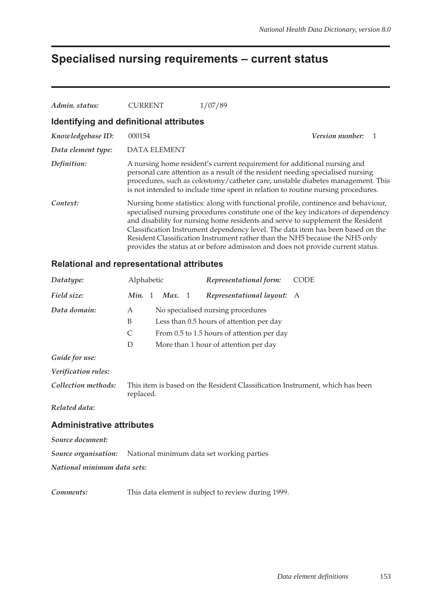## **Specialised nursing requirements – current status**

| Admin. status:                          | <b>CURRENT</b>      | 1/07/89                                                                                                                                                                                                                                                                                                                                                                                                                                                                                                       |
|-----------------------------------------|---------------------|---------------------------------------------------------------------------------------------------------------------------------------------------------------------------------------------------------------------------------------------------------------------------------------------------------------------------------------------------------------------------------------------------------------------------------------------------------------------------------------------------------------|
| Identifying and definitional attributes |                     |                                                                                                                                                                                                                                                                                                                                                                                                                                                                                                               |
| Knowledgebase ID:                       | 000154              | Version number:                                                                                                                                                                                                                                                                                                                                                                                                                                                                                               |
| Data element type:                      | <b>DATA ELEMENT</b> |                                                                                                                                                                                                                                                                                                                                                                                                                                                                                                               |
| Definition:                             |                     | A nursing home resident's current requirement for additional nursing and<br>personal care attention as a result of the resident needing specialised nursing<br>procedures, such as colostomy/catheter care, unstable diabetes management. This<br>is not intended to include time spent in relation to routine nursing procedures.                                                                                                                                                                            |
| Context:                                |                     | Nursing home statistics: along with functional profile, continence and behaviour,<br>specialised nursing procedures constitute one of the key indicators of dependency<br>and disability for nursing home residents and serve to supplement the Resident<br>Classification Instrument dependency level. The data item has been based on the<br>Resident Classification Instrument rather than the NH5 because the NH5 only<br>provides the status at or before admission and does not provide current status. |

#### **Relational and representational attributes**

| Datatype:                        | Alphabetic |      |     | Representational form:                                                       | <b>CODE</b> |
|----------------------------------|------------|------|-----|------------------------------------------------------------------------------|-------------|
| Field size:                      | Min. 1     | Max. | - 1 | Representational layout: A                                                   |             |
| Data domain:                     | A          |      |     | No specialised nursing procedures                                            |             |
|                                  | B          |      |     | Less than 0.5 hours of attention per day                                     |             |
|                                  | C          |      |     | From 0.5 to 1.5 hours of attention per day                                   |             |
|                                  | D          |      |     | More than 1 hour of attention per day                                        |             |
| Guide for use:                   |            |      |     |                                                                              |             |
| Verification rules:              |            |      |     |                                                                              |             |
| Collection methods:              | replaced.  |      |     | This item is based on the Resident Classification Instrument, which has been |             |
| Related data:                    |            |      |     |                                                                              |             |
| <b>Administrative attributes</b> |            |      |     |                                                                              |             |
| Source document:                 |            |      |     |                                                                              |             |
| Source organisation:             |            |      |     | National minimum data set working parties                                    |             |

*National minimum data sets:*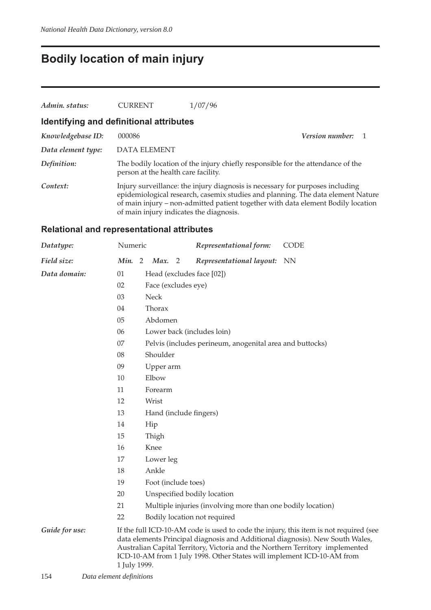# **Bodily location of main injury**

| Admin. status:     | <b>CURRENT</b>                          | 1/07/96                                                                                                                                                                                                                                              |                   |
|--------------------|-----------------------------------------|------------------------------------------------------------------------------------------------------------------------------------------------------------------------------------------------------------------------------------------------------|-------------------|
|                    | Identifying and definitional attributes |                                                                                                                                                                                                                                                      |                   |
| Knowledgebase ID:  | 000086                                  |                                                                                                                                                                                                                                                      | Version number: 1 |
| Data element type: | <b>DATA ELEMENT</b>                     |                                                                                                                                                                                                                                                      |                   |
| Definition:        | person at the health care facility.     | The bodily location of the injury chiefly responsible for the attendance of the                                                                                                                                                                      |                   |
| Context:           | of main injury indicates the diagnosis. | Injury surveillance: the injury diagnosis is necessary for purposes including<br>epidemiological research, casemix studies and planning. The data element Nature<br>of main injury – non-admitted patient together with data element Bodily location |                   |

### **Relational and representational attributes**

| Datatype:      | Numeric      |                     | Representational form:                                                                                                                                  | <b>CODE</b>                                                                                                                                                            |
|----------------|--------------|---------------------|---------------------------------------------------------------------------------------------------------------------------------------------------------|------------------------------------------------------------------------------------------------------------------------------------------------------------------------|
| Field size:    | Min. 2       | Max. 2              | Representational layout:                                                                                                                                | <b>NN</b>                                                                                                                                                              |
| Data domain:   | 01           |                     | Head (excludes face [02])                                                                                                                               |                                                                                                                                                                        |
|                | 02           | Face (excludes eye) |                                                                                                                                                         |                                                                                                                                                                        |
|                | 03           | <b>Neck</b>         |                                                                                                                                                         |                                                                                                                                                                        |
|                | 04           | Thorax              |                                                                                                                                                         |                                                                                                                                                                        |
|                | 05           | Abdomen             |                                                                                                                                                         |                                                                                                                                                                        |
|                | 06           |                     | Lower back (includes loin)                                                                                                                              |                                                                                                                                                                        |
|                | 07           |                     | Pelvis (includes perineum, anogenital area and buttocks)                                                                                                |                                                                                                                                                                        |
|                | 08           | Shoulder            |                                                                                                                                                         |                                                                                                                                                                        |
|                | 09           | Upper arm           |                                                                                                                                                         |                                                                                                                                                                        |
|                | 10           | Elbow               |                                                                                                                                                         |                                                                                                                                                                        |
|                | 11           | Forearm             |                                                                                                                                                         |                                                                                                                                                                        |
|                | 12           | Wrist               |                                                                                                                                                         |                                                                                                                                                                        |
|                | 13           |                     | Hand (include fingers)                                                                                                                                  |                                                                                                                                                                        |
|                | 14           | Hip                 |                                                                                                                                                         |                                                                                                                                                                        |
|                | 15           | Thigh               |                                                                                                                                                         |                                                                                                                                                                        |
|                | 16           | Knee                |                                                                                                                                                         |                                                                                                                                                                        |
|                | 17           | Lower leg           |                                                                                                                                                         |                                                                                                                                                                        |
|                | 18           | Ankle               |                                                                                                                                                         |                                                                                                                                                                        |
|                | 19           | Foot (include toes) |                                                                                                                                                         |                                                                                                                                                                        |
|                | 20           |                     | Unspecified bodily location                                                                                                                             |                                                                                                                                                                        |
|                | 21           |                     | Multiple injuries (involving more than one bodily location)                                                                                             |                                                                                                                                                                        |
|                | 22           |                     | Bodily location not required                                                                                                                            |                                                                                                                                                                        |
| Guide for use: | 1 July 1999. |                     | Australian Capital Territory, Victoria and the Northern Territory implemented<br>ICD-10-AM from 1 July 1998. Other States will implement ICD-10-AM from | If the full ICD-10-AM code is used to code the injury, this item is not required (see<br>data elements Principal diagnosis and Additional diagnosis). New South Wales, |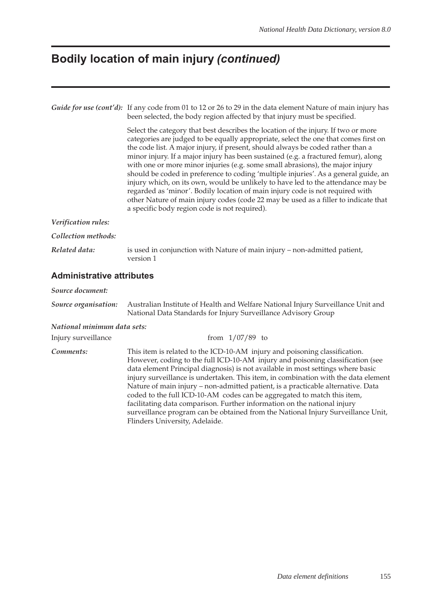## **Bodily location of main injury** *(continued)*

|                                  | Guide for use (cont'd): If any code from 01 to 12 or 26 to 29 in the data element Nature of main injury has<br>been selected, the body region affected by that injury must be specified.                                                                                                                                                                                                                                                                                                                                                                                                                                                                                                                                                                                                                                                |
|----------------------------------|-----------------------------------------------------------------------------------------------------------------------------------------------------------------------------------------------------------------------------------------------------------------------------------------------------------------------------------------------------------------------------------------------------------------------------------------------------------------------------------------------------------------------------------------------------------------------------------------------------------------------------------------------------------------------------------------------------------------------------------------------------------------------------------------------------------------------------------------|
|                                  | Select the category that best describes the location of the injury. If two or more<br>categories are judged to be equally appropriate, select the one that comes first on<br>the code list. A major injury, if present, should always be coded rather than a<br>minor injury. If a major injury has been sustained (e.g. a fractured femur), along<br>with one or more minor injuries (e.g. some small abrasions), the major injury<br>should be coded in preference to coding 'multiple injuries'. As a general guide, an<br>injury which, on its own, would be unlikely to have led to the attendance may be<br>regarded as 'minor'. Bodily location of main injury code is not required with<br>other Nature of main injury codes (code 22 may be used as a filler to indicate that<br>a specific body region code is not required). |
| Verification rules:              |                                                                                                                                                                                                                                                                                                                                                                                                                                                                                                                                                                                                                                                                                                                                                                                                                                         |
| Collection methods:              |                                                                                                                                                                                                                                                                                                                                                                                                                                                                                                                                                                                                                                                                                                                                                                                                                                         |
| Related data:                    | is used in conjunction with Nature of main injury – non-admitted patient,<br>version 1                                                                                                                                                                                                                                                                                                                                                                                                                                                                                                                                                                                                                                                                                                                                                  |
| <b>Administrative attributes</b> |                                                                                                                                                                                                                                                                                                                                                                                                                                                                                                                                                                                                                                                                                                                                                                                                                                         |

#### *Source document:*

*Source organisation:* Australian Institute of Health and Welfare National Injury Surveillance Unit and National Data Standards for Injury Surveillance Advisory Group

#### *National minimum data sets:*

| Injury surveillance | from $1/07/89$ to                                                                                                                                                                                                                                                                                                                                                                                                                                                                                                                                                                                                                                                                                      |
|---------------------|--------------------------------------------------------------------------------------------------------------------------------------------------------------------------------------------------------------------------------------------------------------------------------------------------------------------------------------------------------------------------------------------------------------------------------------------------------------------------------------------------------------------------------------------------------------------------------------------------------------------------------------------------------------------------------------------------------|
| Comments:           | This item is related to the ICD-10-AM injury and poisoning classification.<br>However, coding to the full ICD-10-AM injury and poisoning classification (see<br>data element Principal diagnosis) is not available in most settings where basic<br>injury surveillance is undertaken. This item, in combination with the data element<br>Nature of main injury – non-admitted patient, is a practicable alternative. Data<br>coded to the full ICD-10-AM codes can be aggregated to match this item,<br>facilitating data comparison. Further information on the national injury<br>surveillance program can be obtained from the National Injury Surveillance Unit,<br>Flinders University, Adelaide. |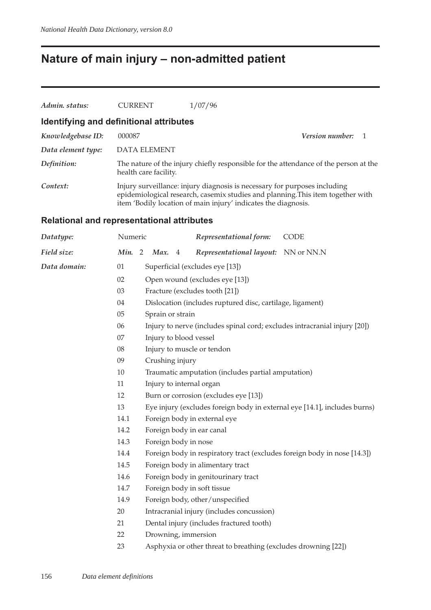## **Nature of main injury – non-admitted patient**

| Admin. status:     | <b>CURRENT</b>                          | 1/07/96                                                                                                                                                                                                                        |  |
|--------------------|-----------------------------------------|--------------------------------------------------------------------------------------------------------------------------------------------------------------------------------------------------------------------------------|--|
|                    | Identifying and definitional attributes |                                                                                                                                                                                                                                |  |
| Knowledgebase ID:  | 000087                                  | <b>Version number:</b>                                                                                                                                                                                                         |  |
| Data element type: | <b>DATA ELEMENT</b>                     |                                                                                                                                                                                                                                |  |
| Definition:        | health care facility.                   | The nature of the injury chiefly responsible for the attendance of the person at the                                                                                                                                           |  |
| Context:           |                                         | Injury surveillance: injury diagnosis is necessary for purposes including<br>epidemiological research, casemix studies and planning. This item together with<br>item 'Bodily location of main injury' indicates the diagnosis. |  |

### **Relational and representational attributes**

| Datatype:    | Numeric |                        |                | Representational form:                                         | CODE                                                                      |
|--------------|---------|------------------------|----------------|----------------------------------------------------------------|---------------------------------------------------------------------------|
| Field size:  | Min. 2  | Max.                   | $\overline{4}$ | Representational layout:                                       | NN or NN.N                                                                |
| Data domain: | 01      |                        |                | Superficial (excludes eye [13])                                |                                                                           |
|              | 02      |                        |                | Open wound (excludes eye [13])                                 |                                                                           |
|              | 03      |                        |                | Fracture (excludes tooth [21])                                 |                                                                           |
|              | 04      |                        |                | Dislocation (includes ruptured disc, cartilage, ligament)      |                                                                           |
|              | $05\,$  | Sprain or strain       |                |                                                                |                                                                           |
|              | 06      |                        |                |                                                                | Injury to nerve (includes spinal cord; excludes intracranial injury [20]) |
|              | 07      | Injury to blood vessel |                |                                                                |                                                                           |
|              | 08      |                        |                | Injury to muscle or tendon                                     |                                                                           |
|              | 09      | Crushing injury        |                |                                                                |                                                                           |
|              | 10      |                        |                | Traumatic amputation (includes partial amputation)             |                                                                           |
|              | 11      |                        |                | Injury to internal organ                                       |                                                                           |
|              | 12      |                        |                | Burn or corrosion (excludes eye [13])                          |                                                                           |
|              | 13      |                        |                |                                                                | Eye injury (excludes foreign body in external eye [14.1], includes burns) |
|              | 14.1    |                        |                | Foreign body in external eye                                   |                                                                           |
|              | 14.2    |                        |                | Foreign body in ear canal                                      |                                                                           |
|              | 14.3    | Foreign body in nose   |                |                                                                |                                                                           |
|              | 14.4    |                        |                |                                                                | Foreign body in respiratory tract (excludes foreign body in nose [14.3])  |
|              | 14.5    |                        |                | Foreign body in alimentary tract                               |                                                                           |
|              | 14.6    |                        |                | Foreign body in genitourinary tract                            |                                                                           |
|              | 14.7    |                        |                | Foreign body in soft tissue                                    |                                                                           |
|              | 14.9    |                        |                | Foreign body, other/unspecified                                |                                                                           |
|              | 20      |                        |                | Intracranial injury (includes concussion)                      |                                                                           |
|              | 21      |                        |                | Dental injury (includes fractured tooth)                       |                                                                           |
|              | 22      |                        |                | Drowning, immersion                                            |                                                                           |
|              | 23      |                        |                | Asphyxia or other threat to breathing (excludes drowning [22]) |                                                                           |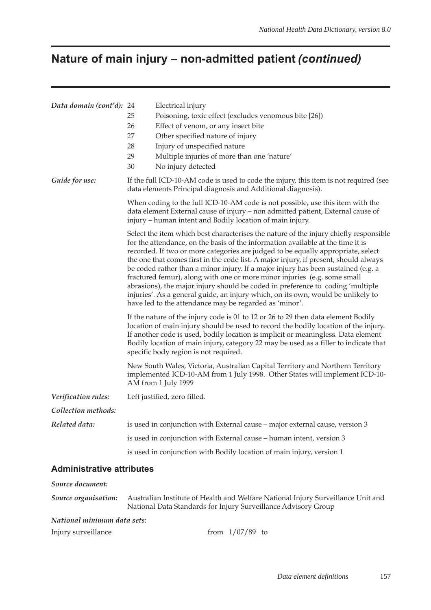# **Nature of main injury – non-admitted patient** *(continued)*

| Data domain (cont'd): 24         | Electrical injury<br>25<br>Poisoning, toxic effect (excludes venomous bite [26])<br>26<br>Effect of venom, or any insect bite<br>27<br>Other specified nature of injury<br>28<br>Injury of unspecified nature<br>Multiple injuries of more than one 'nature'<br>29<br>30<br>No injury detected                                                                                                                                                                                                                                                                                                                                                                                                                                                        |  |  |  |  |  |
|----------------------------------|-------------------------------------------------------------------------------------------------------------------------------------------------------------------------------------------------------------------------------------------------------------------------------------------------------------------------------------------------------------------------------------------------------------------------------------------------------------------------------------------------------------------------------------------------------------------------------------------------------------------------------------------------------------------------------------------------------------------------------------------------------|--|--|--|--|--|
| Guide for use:                   | If the full ICD-10-AM code is used to code the injury, this item is not required (see<br>data elements Principal diagnosis and Additional diagnosis).                                                                                                                                                                                                                                                                                                                                                                                                                                                                                                                                                                                                 |  |  |  |  |  |
|                                  | When coding to the full ICD-10-AM code is not possible, use this item with the<br>data element External cause of injury - non admitted patient, External cause of<br>injury – human intent and Bodily location of main injury.                                                                                                                                                                                                                                                                                                                                                                                                                                                                                                                        |  |  |  |  |  |
|                                  | Select the item which best characterises the nature of the injury chiefly responsible<br>for the attendance, on the basis of the information available at the time it is<br>recorded. If two or more categories are judged to be equally appropriate, select<br>the one that comes first in the code list. A major injury, if present, should always<br>be coded rather than a minor injury. If a major injury has been sustained (e.g. a<br>fractured femur), along with one or more minor injuries (e.g. some small<br>abrasions), the major injury should be coded in preference to coding 'multiple<br>injuries'. As a general guide, an injury which, on its own, would be unlikely to<br>have led to the attendance may be regarded as 'minor'. |  |  |  |  |  |
|                                  | If the nature of the injury code is 01 to 12 or 26 to 29 then data element Bodily<br>location of main injury should be used to record the bodily location of the injury.<br>If another code is used, bodily location is implicit or meaningless. Data element<br>Bodily location of main injury, category 22 may be used as a filler to indicate that<br>specific body region is not required.                                                                                                                                                                                                                                                                                                                                                        |  |  |  |  |  |
|                                  | New South Wales, Victoria, Australian Capital Territory and Northern Territory<br>implemented ICD-10-AM from 1 July 1998. Other States will implement ICD-10-<br>AM from 1 July 1999                                                                                                                                                                                                                                                                                                                                                                                                                                                                                                                                                                  |  |  |  |  |  |
| Verification rules:              | Left justified, zero filled.                                                                                                                                                                                                                                                                                                                                                                                                                                                                                                                                                                                                                                                                                                                          |  |  |  |  |  |
| Collection methods:              |                                                                                                                                                                                                                                                                                                                                                                                                                                                                                                                                                                                                                                                                                                                                                       |  |  |  |  |  |
| Related data:                    | is used in conjunction with External cause – major external cause, version 3                                                                                                                                                                                                                                                                                                                                                                                                                                                                                                                                                                                                                                                                          |  |  |  |  |  |
|                                  | is used in conjunction with External cause – human intent, version 3                                                                                                                                                                                                                                                                                                                                                                                                                                                                                                                                                                                                                                                                                  |  |  |  |  |  |
|                                  | is used in conjunction with Bodily location of main injury, version 1                                                                                                                                                                                                                                                                                                                                                                                                                                                                                                                                                                                                                                                                                 |  |  |  |  |  |
| <b>Administrative attributes</b> |                                                                                                                                                                                                                                                                                                                                                                                                                                                                                                                                                                                                                                                                                                                                                       |  |  |  |  |  |
| Source document:                 |                                                                                                                                                                                                                                                                                                                                                                                                                                                                                                                                                                                                                                                                                                                                                       |  |  |  |  |  |
| Source organisation:             | Australian Institute of Health and Welfare National Injury Surveillance Unit and<br>National Data Standards for Injury Surveillance Advisory Group                                                                                                                                                                                                                                                                                                                                                                                                                                                                                                                                                                                                    |  |  |  |  |  |
| National minimum data sets:      |                                                                                                                                                                                                                                                                                                                                                                                                                                                                                                                                                                                                                                                                                                                                                       |  |  |  |  |  |

Injury surveillance from 1/07/89 to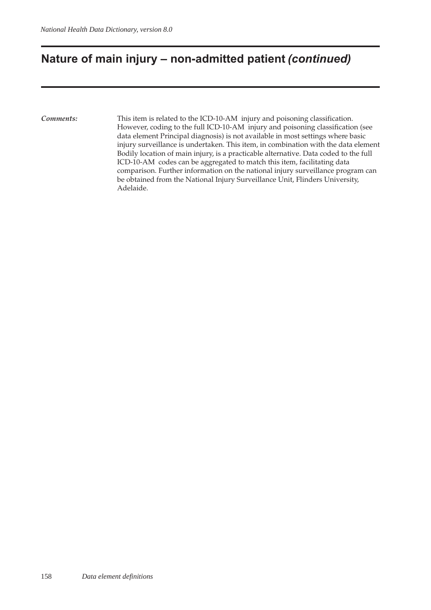## **Nature of main injury – non-admitted patient** *(continued)*

*Comments:* This item is related to the ICD-10-AM injury and poisoning classification. However, coding to the full ICD-10-AM injury and poisoning classification (see data element Principal diagnosis) is not available in most settings where basic injury surveillance is undertaken. This item, in combination with the data element Bodily location of main injury, is a practicable alternative. Data coded to the full ICD-10-AM codes can be aggregated to match this item, facilitating data comparison. Further information on the national injury surveillance program can be obtained from the National Injury Surveillance Unit, Flinders University, Adelaide.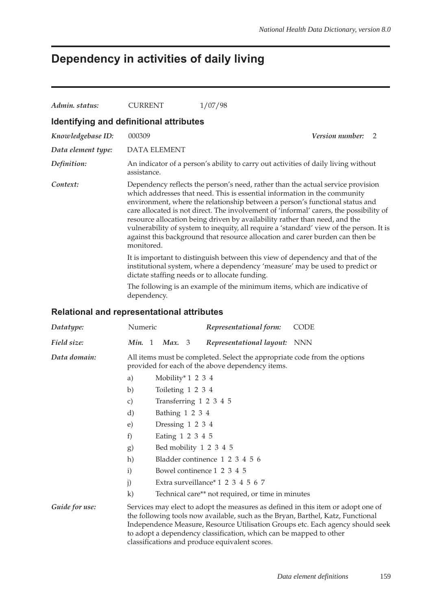### **Dependency in activities of daily living**

| Admin. status:                                                                                                                                                                                                   | <b>CURRENT</b>                                                                                                                                                                                                                                                                                                                                                                                                                                                                                                                                                                                                 | 1/07/98                                                                                                                       |                      |  |  |
|------------------------------------------------------------------------------------------------------------------------------------------------------------------------------------------------------------------|----------------------------------------------------------------------------------------------------------------------------------------------------------------------------------------------------------------------------------------------------------------------------------------------------------------------------------------------------------------------------------------------------------------------------------------------------------------------------------------------------------------------------------------------------------------------------------------------------------------|-------------------------------------------------------------------------------------------------------------------------------|----------------------|--|--|
|                                                                                                                                                                                                                  | Identifying and definitional attributes                                                                                                                                                                                                                                                                                                                                                                                                                                                                                                                                                                        |                                                                                                                               |                      |  |  |
| Knowledgebase ID:                                                                                                                                                                                                | 000309                                                                                                                                                                                                                                                                                                                                                                                                                                                                                                                                                                                                         |                                                                                                                               | Version number:<br>2 |  |  |
| Data element type:                                                                                                                                                                                               | <b>DATA ELEMENT</b>                                                                                                                                                                                                                                                                                                                                                                                                                                                                                                                                                                                            |                                                                                                                               |                      |  |  |
| Definition:                                                                                                                                                                                                      | assistance.                                                                                                                                                                                                                                                                                                                                                                                                                                                                                                                                                                                                    | An indicator of a person's ability to carry out activities of daily living without                                            |                      |  |  |
| Context:                                                                                                                                                                                                         | Dependency reflects the person's need, rather than the actual service provision<br>which addresses that need. This is essential information in the community<br>environment, where the relationship between a person's functional status and<br>care allocated is not direct. The involvement of 'informal' carers, the possibility of<br>resource allocation being driven by availability rather than need, and the<br>vulnerability of system to inequity, all require a 'standard' view of the person. It is<br>against this background that resource allocation and carer burden can then be<br>monitored. |                                                                                                                               |                      |  |  |
| It is important to distinguish between this view of dependency and that of the<br>institutional system, where a dependency 'measure' may be used to predict or<br>dictate staffing needs or to allocate funding. |                                                                                                                                                                                                                                                                                                                                                                                                                                                                                                                                                                                                                |                                                                                                                               |                      |  |  |
|                                                                                                                                                                                                                  | The following is an example of the minimum items, which are indicative of<br>dependency.                                                                                                                                                                                                                                                                                                                                                                                                                                                                                                                       |                                                                                                                               |                      |  |  |
|                                                                                                                                                                                                                  | <b>Relational and representational attributes</b>                                                                                                                                                                                                                                                                                                                                                                                                                                                                                                                                                              |                                                                                                                               |                      |  |  |
| Datatype:                                                                                                                                                                                                        | Numeric                                                                                                                                                                                                                                                                                                                                                                                                                                                                                                                                                                                                        | Representational form:                                                                                                        | <b>CODE</b>          |  |  |
| Field size:                                                                                                                                                                                                      | Min. 1<br>Max. 3                                                                                                                                                                                                                                                                                                                                                                                                                                                                                                                                                                                               | Representational layout:                                                                                                      | NNN                  |  |  |
| Data domain:                                                                                                                                                                                                     | Mobility* $1\ 2\ 3\ 4$<br>a)<br>Toileting 1 2 3 4<br>b)<br>Transferring 1 2 3 4 5<br>$\mathbf{C}$                                                                                                                                                                                                                                                                                                                                                                                                                                                                                                              | All items must be completed. Select the appropriate code from the options<br>provided for each of the above dependency items. |                      |  |  |
|                                                                                                                                                                                                                  | Bathing 1 2 3 4<br>d)                                                                                                                                                                                                                                                                                                                                                                                                                                                                                                                                                                                          |                                                                                                                               |                      |  |  |

- e) Dressing 1 2 3 4
- f) Eating 1 2 3 4 5
- g) Bed mobility 1 2 3 4 5
- h) Bladder continence 1 2 3 4 5 6
- i) Bowel continence 1 2 3 4 5
- j) Extra surveillance\* 1 2 3 4 5 6 7
- k) Technical care\*\* not required, or time in minutes

Guide for use: Services may elect to adopt the measures as defined in this item or adopt one of the following tools now available, such as the Bryan, Barthel, Katz, Functional Independence Measure, Resource Utilisation Groups etc. Each agency should seek to adopt a dependency classification, which can be mapped to other classifications and produce equivalent scores.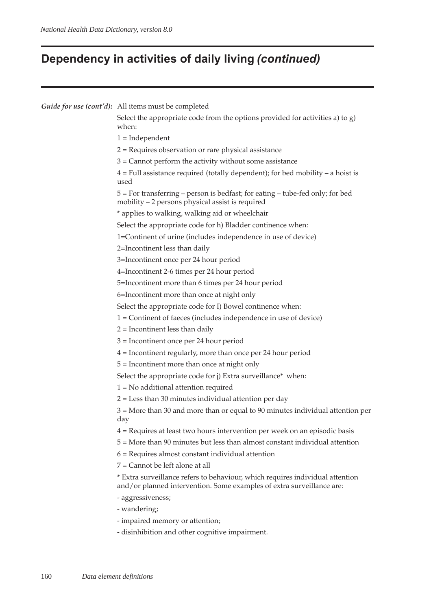# **Dependency in activities of daily living** *(continued)*

| Guide for use (cont'd): All items must be completed                                                                                                    |  |  |  |  |  |  |
|--------------------------------------------------------------------------------------------------------------------------------------------------------|--|--|--|--|--|--|
| Select the appropriate code from the options provided for activities a) to $g$ )<br>when:                                                              |  |  |  |  |  |  |
| $1 = Independent$                                                                                                                                      |  |  |  |  |  |  |
| 2 = Requires observation or rare physical assistance                                                                                                   |  |  |  |  |  |  |
| $3 =$ Cannot perform the activity without some assistance                                                                                              |  |  |  |  |  |  |
| $4$ = Full assistance required (totally dependent); for bed mobility – a hoist is<br>used                                                              |  |  |  |  |  |  |
| 5 = For transferring - person is bedfast; for eating - tube-fed only; for bed<br>mobility - 2 persons physical assist is required                      |  |  |  |  |  |  |
| * applies to walking, walking aid or wheelchair                                                                                                        |  |  |  |  |  |  |
| Select the appropriate code for h) Bladder continence when:                                                                                            |  |  |  |  |  |  |
| 1=Continent of urine (includes independence in use of device)                                                                                          |  |  |  |  |  |  |
| 2=Incontinent less than daily                                                                                                                          |  |  |  |  |  |  |
| 3=Incontinent once per 24 hour period                                                                                                                  |  |  |  |  |  |  |
| 4=Incontinent 2-6 times per 24 hour period                                                                                                             |  |  |  |  |  |  |
| 5=Incontinent more than 6 times per 24 hour period                                                                                                     |  |  |  |  |  |  |
| 6=Incontinent more than once at night only                                                                                                             |  |  |  |  |  |  |
| Select the appropriate code for I) Bowel continence when:                                                                                              |  |  |  |  |  |  |
| 1 = Continent of faeces (includes independence in use of device)                                                                                       |  |  |  |  |  |  |
| $2$ = Incontinent less than daily                                                                                                                      |  |  |  |  |  |  |
| $3$ = Incontinent once per 24 hour period                                                                                                              |  |  |  |  |  |  |
| $4$ = Incontinent regularly, more than once per 24 hour period                                                                                         |  |  |  |  |  |  |
| $5 =$ Incontinent more than once at night only                                                                                                         |  |  |  |  |  |  |
| Select the appropriate code for j) Extra surveillance* when:                                                                                           |  |  |  |  |  |  |
| $1 = No$ additional attention required                                                                                                                 |  |  |  |  |  |  |
| $2 =$ Less than 30 minutes individual attention per day                                                                                                |  |  |  |  |  |  |
| 3 = More than 30 and more than or equal to 90 minutes individual attention per<br>day                                                                  |  |  |  |  |  |  |
| 4 = Requires at least two hours intervention per week on an episodic basis                                                                             |  |  |  |  |  |  |
| 5 = More than 90 minutes but less than almost constant individual attention                                                                            |  |  |  |  |  |  |
| $6$ = Requires almost constant individual attention                                                                                                    |  |  |  |  |  |  |
| 7 = Cannot be left alone at all                                                                                                                        |  |  |  |  |  |  |
| * Extra surveillance refers to behaviour, which requires individual attention<br>and/or planned intervention. Some examples of extra surveillance are: |  |  |  |  |  |  |
| - aggressiveness;                                                                                                                                      |  |  |  |  |  |  |
| - wandering;                                                                                                                                           |  |  |  |  |  |  |
| - impaired memory or attention;                                                                                                                        |  |  |  |  |  |  |
| - disinhibition and other cognitive impairment.                                                                                                        |  |  |  |  |  |  |
|                                                                                                                                                        |  |  |  |  |  |  |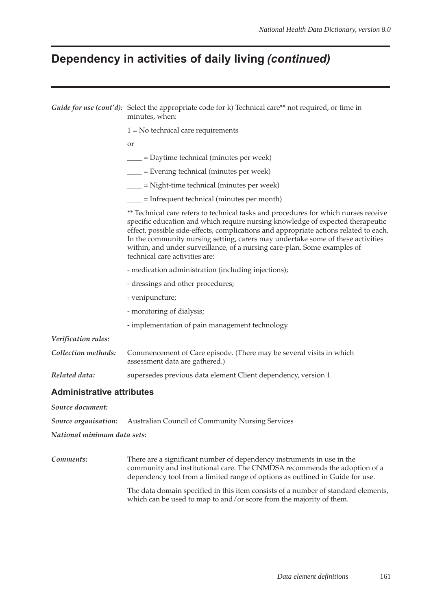## **Dependency in activities of daily living** *(continued)*

|                                  | Guide for use (cont'd): Select the appropriate code for k) Technical care** not required, or time in<br>minutes, when:                                                                                                                                                                                                                                                                                                                                          |  |  |  |  |  |  |
|----------------------------------|-----------------------------------------------------------------------------------------------------------------------------------------------------------------------------------------------------------------------------------------------------------------------------------------------------------------------------------------------------------------------------------------------------------------------------------------------------------------|--|--|--|--|--|--|
|                                  | $1 = No$ technical care requirements                                                                                                                                                                                                                                                                                                                                                                                                                            |  |  |  |  |  |  |
|                                  | <sub>or</sub>                                                                                                                                                                                                                                                                                                                                                                                                                                                   |  |  |  |  |  |  |
|                                  | ____ = Daytime technical (minutes per week)                                                                                                                                                                                                                                                                                                                                                                                                                     |  |  |  |  |  |  |
|                                  | $\frac{1}{1}$ = Evening technical (minutes per week)                                                                                                                                                                                                                                                                                                                                                                                                            |  |  |  |  |  |  |
|                                  | ___ = Night-time technical (minutes per week)                                                                                                                                                                                                                                                                                                                                                                                                                   |  |  |  |  |  |  |
|                                  | $=$ Infrequent technical (minutes per month)                                                                                                                                                                                                                                                                                                                                                                                                                    |  |  |  |  |  |  |
|                                  | ** Technical care refers to technical tasks and procedures for which nurses receive<br>specific education and which require nursing knowledge of expected therapeutic<br>effect, possible side-effects, complications and appropriate actions related to each.<br>In the community nursing setting, carers may undertake some of these activities<br>within, and under surveillance, of a nursing care-plan. Some examples of<br>technical care activities are: |  |  |  |  |  |  |
|                                  | - medication administration (including injections);<br>- dressings and other procedures;                                                                                                                                                                                                                                                                                                                                                                        |  |  |  |  |  |  |
|                                  |                                                                                                                                                                                                                                                                                                                                                                                                                                                                 |  |  |  |  |  |  |
|                                  | - venipuncture;                                                                                                                                                                                                                                                                                                                                                                                                                                                 |  |  |  |  |  |  |
|                                  | - monitoring of dialysis;                                                                                                                                                                                                                                                                                                                                                                                                                                       |  |  |  |  |  |  |
|                                  | - implementation of pain management technology.                                                                                                                                                                                                                                                                                                                                                                                                                 |  |  |  |  |  |  |
| Verification rules:              |                                                                                                                                                                                                                                                                                                                                                                                                                                                                 |  |  |  |  |  |  |
| Collection methods:              | Commencement of Care episode. (There may be several visits in which<br>assessment data are gathered.)                                                                                                                                                                                                                                                                                                                                                           |  |  |  |  |  |  |
| Related data:                    | supersedes previous data element Client dependency, version 1                                                                                                                                                                                                                                                                                                                                                                                                   |  |  |  |  |  |  |
| <b>Administrative attributes</b> |                                                                                                                                                                                                                                                                                                                                                                                                                                                                 |  |  |  |  |  |  |

*Source document:*

*Source organisation:* Australian Council of Community Nursing Services

*National minimum data sets:*

*Comments:* There are a significant number of dependency instruments in use in the community and institutional care. The CNMDSA recommends the adoption of a dependency tool from a limited range of options as outlined in Guide for use.

> The data domain specified in this item consists of a number of standard elements, which can be used to map to and/or score from the majority of them.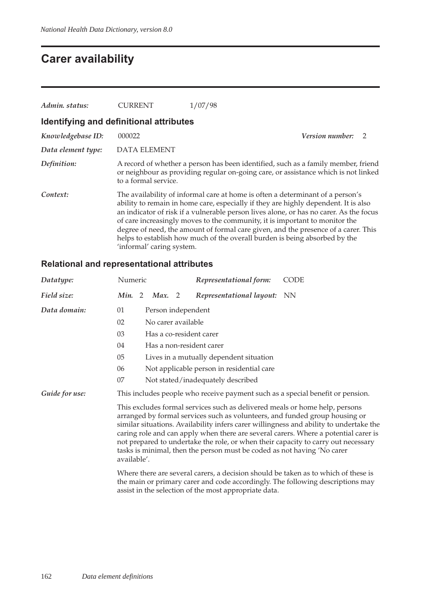## **Carer availability**

| Admin. status:                          | CURRENT                                                                                                                                                                                                                                                                                                                                                                                                                                                                                                                                         | /07/98                 |  |  |  |
|-----------------------------------------|-------------------------------------------------------------------------------------------------------------------------------------------------------------------------------------------------------------------------------------------------------------------------------------------------------------------------------------------------------------------------------------------------------------------------------------------------------------------------------------------------------------------------------------------------|------------------------|--|--|--|
| Identifying and definitional attributes |                                                                                                                                                                                                                                                                                                                                                                                                                                                                                                                                                 |                        |  |  |  |
| Knowledgebase ID:                       | 000022                                                                                                                                                                                                                                                                                                                                                                                                                                                                                                                                          | <i>Version number:</i> |  |  |  |
| Data element type:                      | <b>DATA ELEMENT</b>                                                                                                                                                                                                                                                                                                                                                                                                                                                                                                                             |                        |  |  |  |
| Definition:                             | A record of whether a person has been identified, such as a family member, friend<br>or neighbour as providing regular on-going care, or assistance which is not linked<br>to a formal service.                                                                                                                                                                                                                                                                                                                                                 |                        |  |  |  |
| Context:                                | The availability of informal care at home is often a determinant of a person's<br>ability to remain in home care, especially if they are highly dependent. It is also<br>an indicator of risk if a vulnerable person lives alone, or has no carer. As the focus<br>of care increasingly moves to the community, it is important to monitor the<br>degree of need, the amount of formal care given, and the presence of a carer. This<br>helps to establish how much of the overall burden is being absorbed by the<br>'informal' caring system. |                        |  |  |  |

### **Relational and representational attributes**

| Datatype:      | Numeric          | Representational form:                                                                                                                                                                                                                                                                                                                                                                                                                                                                                      | <b>CODE</b> |  |  |
|----------------|------------------|-------------------------------------------------------------------------------------------------------------------------------------------------------------------------------------------------------------------------------------------------------------------------------------------------------------------------------------------------------------------------------------------------------------------------------------------------------------------------------------------------------------|-------------|--|--|
| Field size:    | Min. 2<br>Max. 2 | Representational layout: NN                                                                                                                                                                                                                                                                                                                                                                                                                                                                                 |             |  |  |
| Data domain:   | 01               | Person independent                                                                                                                                                                                                                                                                                                                                                                                                                                                                                          |             |  |  |
|                | 02               | No carer available                                                                                                                                                                                                                                                                                                                                                                                                                                                                                          |             |  |  |
|                | 03               | Has a co-resident carer                                                                                                                                                                                                                                                                                                                                                                                                                                                                                     |             |  |  |
|                | 04               | Has a non-resident carer                                                                                                                                                                                                                                                                                                                                                                                                                                                                                    |             |  |  |
|                | 05               | Lives in a mutually dependent situation                                                                                                                                                                                                                                                                                                                                                                                                                                                                     |             |  |  |
|                | 06               | Not applicable person in residential care                                                                                                                                                                                                                                                                                                                                                                                                                                                                   |             |  |  |
|                | 07               | Not stated/inadequately described                                                                                                                                                                                                                                                                                                                                                                                                                                                                           |             |  |  |
| Guide for use: |                  | This includes people who receive payment such as a special benefit or pension.                                                                                                                                                                                                                                                                                                                                                                                                                              |             |  |  |
|                | available'.      | This excludes formal services such as delivered meals or home help, persons<br>arranged by formal services such as volunteers, and funded group housing or<br>similar situations. Availability infers carer willingness and ability to undertake the<br>caring role and can apply when there are several carers. Where a potential carer is<br>not prepared to undertake the role, or when their capacity to carry out necessary<br>tasks is minimal, then the person must be coded as not having 'No carer |             |  |  |
|                |                  | Where there are several carers, a decision should be taken as to which of these is<br>the main or primary carer and code accordingly. The following descriptions may<br>assist in the selection of the most appropriate data.                                                                                                                                                                                                                                                                               |             |  |  |